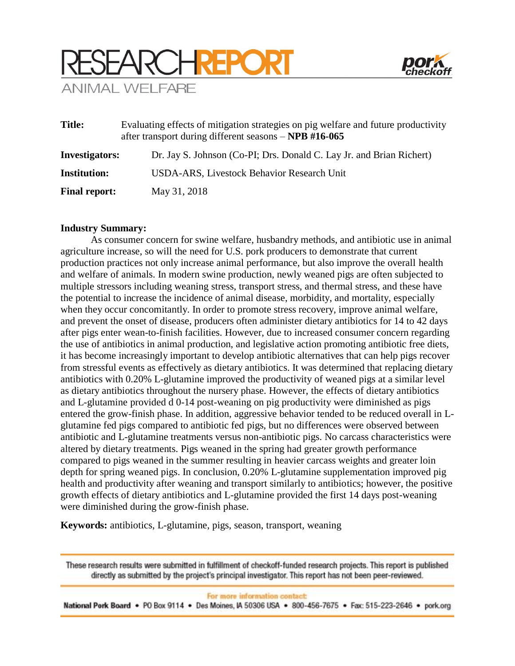



| <b>Title:</b>         | Evaluating effects of mitigation strategies on pig welfare and future productivity<br>after transport during different seasons – NPB #16-065 |
|-----------------------|----------------------------------------------------------------------------------------------------------------------------------------------|
| <b>Investigators:</b> | Dr. Jay S. Johnson (Co-PI; Drs. Donald C. Lay Jr. and Brian Richert)                                                                         |
| <b>Institution:</b>   | USDA-ARS, Livestock Behavior Research Unit                                                                                                   |
| <b>Final report:</b>  | May 31, 2018                                                                                                                                 |

## **Industry Summary:**

As consumer concern for swine welfare, husbandry methods, and antibiotic use in animal agriculture increase, so will the need for U.S. pork producers to demonstrate that current production practices not only increase animal performance, but also improve the overall health and welfare of animals. In modern swine production, newly weaned pigs are often subjected to multiple stressors including weaning stress, transport stress, and thermal stress, and these have the potential to increase the incidence of animal disease, morbidity, and mortality, especially when they occur concomitantly. In order to promote stress recovery, improve animal welfare, and prevent the onset of disease, producers often administer dietary antibiotics for 14 to 42 days after pigs enter wean-to-finish facilities. However, due to increased consumer concern regarding the use of antibiotics in animal production, and legislative action promoting antibiotic free diets, it has become increasingly important to develop antibiotic alternatives that can help pigs recover from stressful events as effectively as dietary antibiotics. It was determined that replacing dietary antibiotics with 0.20% L-glutamine improved the productivity of weaned pigs at a similar level as dietary antibiotics throughout the nursery phase. However, the effects of dietary antibiotics and L-glutamine provided d 0-14 post-weaning on pig productivity were diminished as pigs entered the grow-finish phase. In addition, aggressive behavior tended to be reduced overall in Lglutamine fed pigs compared to antibiotic fed pigs, but no differences were observed between antibiotic and L-glutamine treatments versus non-antibiotic pigs. No carcass characteristics were altered by dietary treatments. Pigs weaned in the spring had greater growth performance compared to pigs weaned in the summer resulting in heavier carcass weights and greater loin depth for spring weaned pigs. In conclusion, 0.20% L-glutamine supplementation improved pig health and productivity after weaning and transport similarly to antibiotics; however, the positive growth effects of dietary antibiotics and L-glutamine provided the first 14 days post-weaning were diminished during the grow-finish phase.

**Keywords:** antibiotics, L-glutamine, pigs, season, transport, weaning

These research results were submitted in fulfillment of checkoff-funded research projects. This report is published directly as submitted by the project's principal investigator. This report has not been peer-reviewed.

For more information contact:

National Pork Board • PO Box 9114 • Des Moines, IA 50306 USA • 800-456-7675 • Fax: 515-223-2646 • pork.org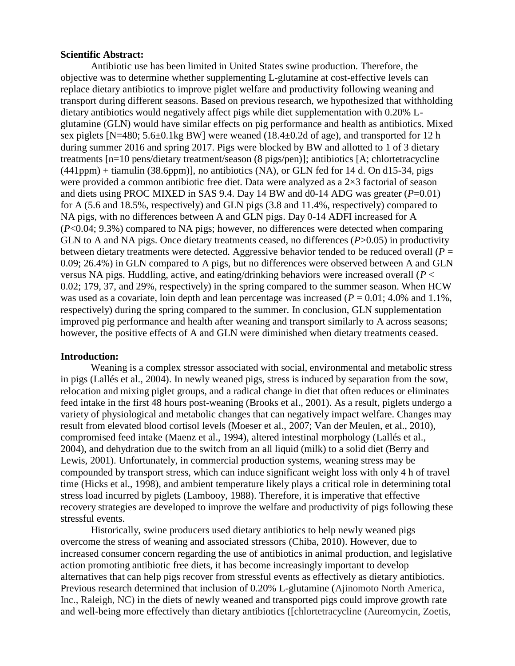### **Scientific Abstract:**

Antibiotic use has been limited in United States swine production. Therefore, the objective was to determine whether supplementing L-glutamine at cost-effective levels can replace dietary antibiotics to improve piglet welfare and productivity following weaning and transport during different seasons. Based on previous research, we hypothesized that withholding dietary antibiotics would negatively affect pigs while diet supplementation with 0.20% Lglutamine (GLN) would have similar effects on pig performance and health as antibiotics. Mixed sex piglets [N=480; 5.6±0.1kg BW] were weaned (18.4±0.2d of age), and transported for 12 h during summer 2016 and spring 2017. Pigs were blocked by BW and allotted to 1 of 3 dietary treatments [n=10 pens/dietary treatment/season (8 pigs/pen)]; antibiotics [A; chlortetracycline  $(441ppm) +$  tiamulin  $(38.6ppm)$ ], no antibiotics  $(NA)$ , or GLN fed for 14 d. On d15-34, pigs were provided a common antibiotic free diet. Data were analyzed as a 2×3 factorial of season and diets using PROC MIXED in SAS 9.4. Day 14 BW and d0-14 ADG was greater (*P*=0.01) for A (5.6 and 18.5%, respectively) and GLN pigs (3.8 and 11.4%, respectively) compared to NA pigs, with no differences between A and GLN pigs. Day 0-14 ADFI increased for A (*P*<0.04; 9.3%) compared to NA pigs; however, no differences were detected when comparing GLN to A and NA pigs. Once dietary treatments ceased, no differences (*P*>0.05) in productivity between dietary treatments were detected. Aggressive behavior tended to be reduced overall ( $P =$ 0.09; 26.4%) in GLN compared to A pigs, but no differences were observed between A and GLN versus NA pigs. Huddling, active, and eating/drinking behaviors were increased overall (*P* < 0.02; 179, 37, and 29%, respectively) in the spring compared to the summer season. When HCW was used as a covariate, loin depth and lean percentage was increased  $(P = 0.01; 4.0\%$  and 1.1%, respectively) during the spring compared to the summer. In conclusion, GLN supplementation improved pig performance and health after weaning and transport similarly to A across seasons; however, the positive effects of A and GLN were diminished when dietary treatments ceased.

### **Introduction:**

Weaning is a complex stressor associated with social, environmental and metabolic stress in pigs (Lallés et al., 2004). In newly weaned pigs, stress is induced by separation from the sow, relocation and mixing piglet groups, and a radical change in diet that often reduces or eliminates feed intake in the first 48 hours post-weaning (Brooks et al., 2001). As a result, piglets undergo a variety of physiological and metabolic changes that can negatively impact welfare. Changes may result from elevated blood cortisol levels (Moeser et al., 2007; Van der Meulen, et al., 2010), compromised feed intake (Maenz et al., 1994), altered intestinal morphology (Lallés et al., 2004), and dehydration due to the switch from an all liquid (milk) to a solid diet (Berry and Lewis, 2001). Unfortunately, in commercial production systems, weaning stress may be compounded by transport stress, which can induce significant weight loss with only 4 h of travel time (Hicks et al., 1998), and ambient temperature likely plays a critical role in determining total stress load incurred by piglets (Lambooy, 1988). Therefore, it is imperative that effective recovery strategies are developed to improve the welfare and productivity of pigs following these stressful events.

Historically, swine producers used dietary antibiotics to help newly weaned pigs overcome the stress of weaning and associated stressors (Chiba, 2010). However, due to increased consumer concern regarding the use of antibiotics in animal production, and legislative action promoting antibiotic free diets, it has become increasingly important to develop alternatives that can help pigs recover from stressful events as effectively as dietary antibiotics. Previous research determined that inclusion of 0.20% L-glutamine (Ajinomoto North America, Inc., Raleigh, NC) in the diets of newly weaned and transported pigs could improve growth rate and well-being more effectively than dietary antibiotics ([chlortetracycline (Aureomycin, Zoetis,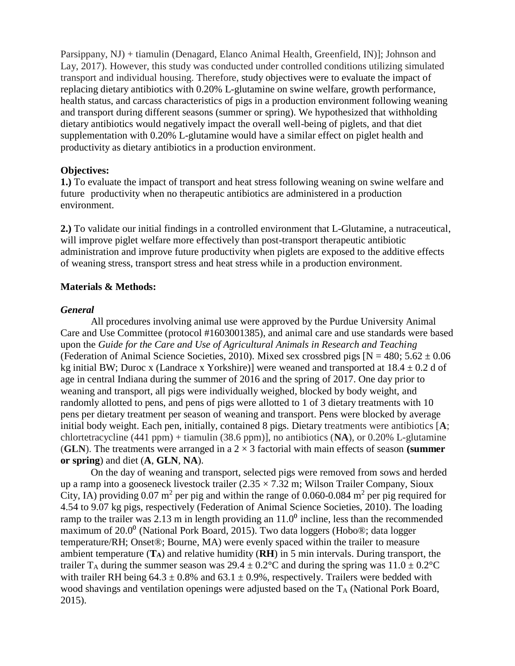Parsippany, NJ) + tiamulin (Denagard, Elanco Animal Health, Greenfield, IN)]; Johnson and Lay, 2017). However, this study was conducted under controlled conditions utilizing simulated transport and individual housing. Therefore, study objectives were to evaluate the impact of replacing dietary antibiotics with 0.20% L-glutamine on swine welfare, growth performance, health status, and carcass characteristics of pigs in a production environment following weaning and transport during different seasons (summer or spring). We hypothesized that withholding dietary antibiotics would negatively impact the overall well-being of piglets, and that diet supplementation with 0.20% L-glutamine would have a similar effect on piglet health and productivity as dietary antibiotics in a production environment.

# **Objectives:**

**1.)** To evaluate the impact of transport and heat stress following weaning on swine welfare and future productivity when no therapeutic antibiotics are administered in a production environment.

**2.)** To validate our initial findings in a controlled environment that L-Glutamine, a nutraceutical, will improve piglet welfare more effectively than post-transport therapeutic antibiotic administration and improve future productivity when piglets are exposed to the additive effects of weaning stress, transport stress and heat stress while in a production environment.

# **Materials & Methods:**

# *General*

All procedures involving animal use were approved by the Purdue University Animal Care and Use Committee (protocol #1603001385), and animal care and use standards were based upon the *Guide for the Care and Use of Agricultural Animals in Research and Teaching*  (Federation of Animal Science Societies, 2010). Mixed sex crossbred pigs  $[N = 480; 5.62 \pm 0.06]$ kg initial BW; Duroc x (Landrace x Yorkshire)] were weaned and transported at  $18.4 \pm 0.2$  d of age in central Indiana during the summer of 2016 and the spring of 2017. One day prior to weaning and transport, all pigs were individually weighed, blocked by body weight, and randomly allotted to pens, and pens of pigs were allotted to 1 of 3 dietary treatments with 10 pens per dietary treatment per season of weaning and transport. Pens were blocked by average initial body weight. Each pen, initially, contained 8 pigs. Dietary treatments were antibiotics [**A**; chlortetracycline (441 ppm) + tiamulin (38.6 ppm)], no antibiotics (**NA**), or 0.20% L-glutamine (**GLN**). The treatments were arranged in a  $2 \times 3$  factorial with main effects of season (summer **or spring**) and diet (**A**, **GLN**, **NA**).

On the day of weaning and transport, selected pigs were removed from sows and herded up a ramp into a gooseneck livestock trailer  $(2.35 \times 7.32 \text{ m})$ ; Wilson Trailer Company, Sioux City, IA) providing 0.07 m<sup>2</sup> per pig and within the range of 0.060-0.084 m<sup>2</sup> per pig required for 4.54 to 9.07 kg pigs, respectively (Federation of Animal Science Societies, 2010). The loading ramp to the trailer was 2.13 m in length providing an  $11.0<sup>o</sup>$  incline, less than the recommended maximum of  $20.0<sup>0</sup>$  (National Pork Board, 2015). Two data loggers (Hobo®; data logger temperature/RH; Onset®; Bourne, MA) were evenly spaced within the trailer to measure ambient temperature (**TA**) and relative humidity (**RH**) in 5 min intervals. During transport, the trailer T<sub>A</sub> during the summer season was  $29.4 \pm 0.2^{\circ}$ C and during the spring was  $11.0 \pm 0.2^{\circ}$ C with trailer RH being  $64.3 \pm 0.8\%$  and  $63.1 \pm 0.9\%$ , respectively. Trailers were bedded with wood shavings and ventilation openings were adjusted based on the  $T_A$  (National Pork Board, 2015).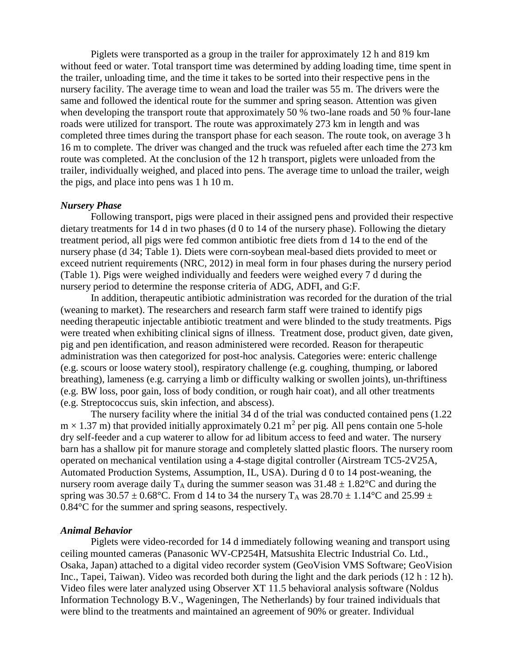Piglets were transported as a group in the trailer for approximately 12 h and 819 km without feed or water. Total transport time was determined by adding loading time, time spent in the trailer, unloading time, and the time it takes to be sorted into their respective pens in the nursery facility. The average time to wean and load the trailer was 55 m. The drivers were the same and followed the identical route for the summer and spring season. Attention was given when developing the transport route that approximately 50 % two-lane roads and 50 % four-lane roads were utilized for transport. The route was approximately 273 km in length and was completed three times during the transport phase for each season. The route took, on average 3 h 16 m to complete. The driver was changed and the truck was refueled after each time the 273 km route was completed. At the conclusion of the 12 h transport, piglets were unloaded from the trailer, individually weighed, and placed into pens. The average time to unload the trailer, weigh the pigs, and place into pens was 1 h 10 m.

# *Nursery Phase*

Following transport, pigs were placed in their assigned pens and provided their respective dietary treatments for 14 d in two phases (d 0 to 14 of the nursery phase). Following the dietary treatment period, all pigs were fed common antibiotic free diets from d 14 to the end of the nursery phase (d 34; Table 1). Diets were corn-soybean meal-based diets provided to meet or exceed nutrient requirements (NRC, 2012) in meal form in four phases during the nursery period (Table 1). Pigs were weighed individually and feeders were weighed every 7 d during the nursery period to determine the response criteria of ADG, ADFI, and G:F.

In addition, therapeutic antibiotic administration was recorded for the duration of the trial (weaning to market). The researchers and research farm staff were trained to identify pigs needing therapeutic injectable antibiotic treatment and were blinded to the study treatments. Pigs were treated when exhibiting clinical signs of illness. Treatment dose, product given, date given, pig and pen identification, and reason administered were recorded. Reason for therapeutic administration was then categorized for post-hoc analysis. Categories were: enteric challenge (e.g. scours or loose watery stool), respiratory challenge (e.g. coughing, thumping, or labored breathing), lameness (e.g. carrying a limb or difficulty walking or swollen joints), un-thriftiness (e.g. BW loss, poor gain, loss of body condition, or rough hair coat), and all other treatments (e.g. Streptococcus suis, skin infection, and abscess).

The nursery facility where the initial 34 d of the trial was conducted contained pens (1.22  $m \times 1.37$  m) that provided initially approximately 0.21 m<sup>2</sup> per pig. All pens contain one 5-hole dry self-feeder and a cup waterer to allow for ad libitum access to feed and water. The nursery barn has a shallow pit for manure storage and completely slatted plastic floors. The nursery room operated on mechanical ventilation using a 4-stage digital controller (Airstream TC5-2V25A, Automated Production Systems, Assumption, IL, USA). During d 0 to 14 post-weaning, the nursery room average daily  $T_A$  during the summer season was  $31.48 \pm 1.82$ °C and during the spring was  $30.57 \pm 0.68$ °C. From d 14 to 34 the nursery T<sub>A</sub> was  $28.70 \pm 1.14$ °C and  $25.99 \pm 1.14$ 0.84°C for the summer and spring seasons, respectively.

#### *Animal Behavior*

Piglets were video-recorded for 14 d immediately following weaning and transport using ceiling mounted cameras (Panasonic WV-CP254H, Matsushita Electric Industrial Co. Ltd., Osaka, Japan) attached to a digital video recorder system (GeoVision VMS Software; GeoVision Inc., Tapei, Taiwan). Video was recorded both during the light and the dark periods (12 h : 12 h). Video files were later analyzed using Observer XT 11.5 behavioral analysis software (Noldus Information Technology B.V., Wageningen, The Netherlands) by four trained individuals that were blind to the treatments and maintained an agreement of 90% or greater. Individual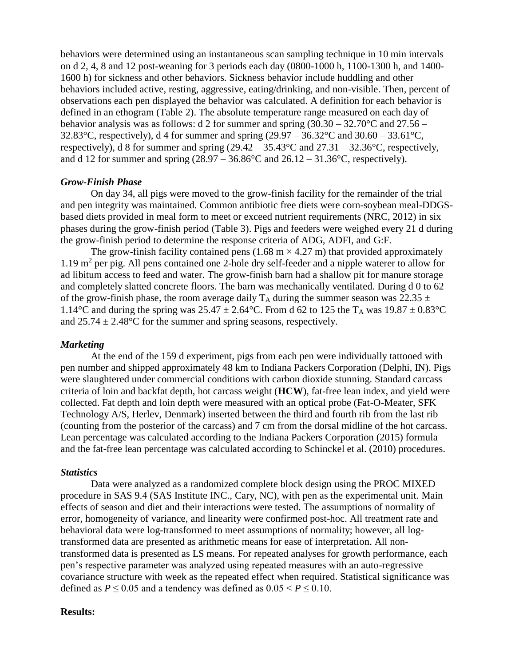behaviors were determined using an instantaneous scan sampling technique in 10 min intervals on d 2, 4, 8 and 12 post-weaning for 3 periods each day (0800-1000 h, 1100-1300 h, and 1400- 1600 h) for sickness and other behaviors. Sickness behavior include huddling and other behaviors included active, resting, aggressive, eating/drinking, and non-visible. Then, percent of observations each pen displayed the behavior was calculated. A definition for each behavior is defined in an ethogram (Table 2). The absolute temperature range measured on each day of behavior analysis was as follows: d 2 for summer and spring  $(30.30 - 32.70^{\circ}$ C and  $27.56 -$ 32.83°C, respectively), d 4 for summer and spring  $(29.97 - 36.32$ °C and  $30.60 - 33.61$ °C, respectively), d 8 for summer and spring (29.42 – 35.43°C and 27.31 – 32.36°C, respectively, and d 12 for summer and spring  $(28.97 - 36.86^{\circ}$ C and  $26.12 - 31.36^{\circ}$ C, respectively).

### *Grow-Finish Phase*

On day 34, all pigs were moved to the grow-finish facility for the remainder of the trial and pen integrity was maintained. Common antibiotic free diets were corn-soybean meal-DDGSbased diets provided in meal form to meet or exceed nutrient requirements (NRC, 2012) in six phases during the grow-finish period (Table 3). Pigs and feeders were weighed every 21 d during the grow-finish period to determine the response criteria of ADG, ADFI, and G:F.

The grow-finish facility contained pens  $(1.68 \text{ m} \times 4.27 \text{ m})$  that provided approximately 1.19 m<sup>2</sup> per pig. All pens contained one 2-hole dry self-feeder and a nipple waterer to allow for ad libitum access to feed and water. The grow-finish barn had a shallow pit for manure storage and completely slatted concrete floors. The barn was mechanically ventilated. During d 0 to 62 of the grow-finish phase, the room average daily  $T_A$  during the summer season was 22.35  $\pm$ 1.14<sup>o</sup>C and during the spring was  $25.47 \pm 2.64$ <sup>o</sup>C. From d 62 to 125 the T<sub>A</sub> was  $19.87 \pm 0.83$ <sup>o</sup>C and  $25.74 \pm 2.48$ °C for the summer and spring seasons, respectively.

#### *Marketing*

At the end of the 159 d experiment, pigs from each pen were individually tattooed with pen number and shipped approximately 48 km to Indiana Packers Corporation (Delphi, IN). Pigs were slaughtered under commercial conditions with carbon dioxide stunning. Standard carcass criteria of loin and backfat depth, hot carcass weight (**HCW**), fat-free lean index, and yield were collected. Fat depth and loin depth were measured with an optical probe (Fat-O-Meater, SFK Technology A/S, Herlev, Denmark) inserted between the third and fourth rib from the last rib (counting from the posterior of the carcass) and 7 cm from the dorsal midline of the hot carcass. Lean percentage was calculated according to the Indiana Packers Corporation (2015) formula and the fat-free lean percentage was calculated according to Schinckel et al. (2010) procedures.

# *Statistics*

Data were analyzed as a randomized complete block design using the PROC MIXED procedure in SAS 9.4 (SAS Institute INC., Cary, NC), with pen as the experimental unit. Main effects of season and diet and their interactions were tested. The assumptions of normality of error, homogeneity of variance, and linearity were confirmed post-hoc. All treatment rate and behavioral data were log-transformed to meet assumptions of normality; however, all logtransformed data are presented as arithmetic means for ease of interpretation. All nontransformed data is presented as LS means. For repeated analyses for growth performance, each pen's respective parameter was analyzed using repeated measures with an auto-regressive covariance structure with week as the repeated effect when required. Statistical significance was defined as  $P \le 0.05$  and a tendency was defined as  $0.05 \le P \le 0.10$ .

### **Results:**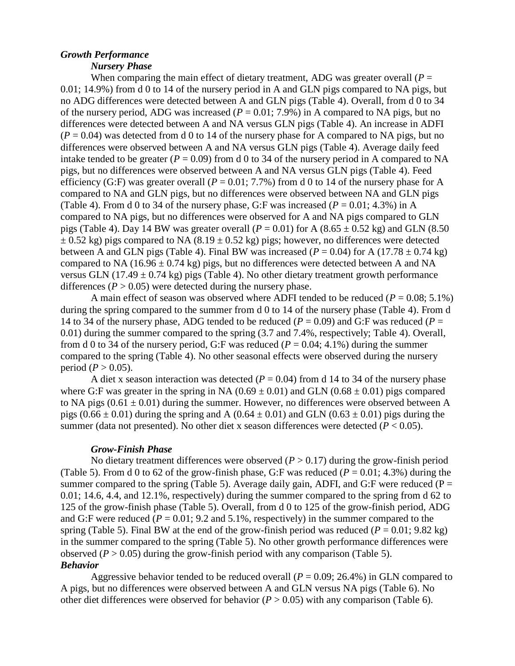## *Growth Performance*

### *Nursery Phase*

When comparing the main effect of dietary treatment, ADG was greater overall  $(P =$ 0.01; 14.9%) from d 0 to 14 of the nursery period in A and GLN pigs compared to NA pigs, but no ADG differences were detected between A and GLN pigs (Table 4). Overall, from d 0 to 34 of the nursery period, ADG was increased ( $P = 0.01$ ; 7.9%) in A compared to NA pigs, but no differences were detected between A and NA versus GLN pigs (Table 4). An increase in ADFI  $(P = 0.04)$  was detected from d 0 to 14 of the nursery phase for A compared to NA pigs, but no differences were observed between A and NA versus GLN pigs (Table 4). Average daily feed intake tended to be greater ( $P = 0.09$ ) from d 0 to 34 of the nursery period in A compared to NA pigs, but no differences were observed between A and NA versus GLN pigs (Table 4). Feed efficiency (G:F) was greater overall ( $P = 0.01$ ; 7.7%) from d 0 to 14 of the nursery phase for A compared to NA and GLN pigs, but no differences were observed between NA and GLN pigs (Table 4). From d 0 to 34 of the nursery phase, G:F was increased ( $P = 0.01$ ; 4.3%) in A compared to NA pigs, but no differences were observed for A and NA pigs compared to GLN pigs (Table 4). Day 14 BW was greater overall  $(P = 0.01)$  for A  $(8.65 \pm 0.52 \text{ kg})$  and GLN  $(8.50 \text{ m})$  $\pm$  0.52 kg) pigs compared to NA (8.19  $\pm$  0.52 kg) pigs; however, no differences were detected between A and GLN pigs (Table 4). Final BW was increased ( $P = 0.04$ ) for A (17.78  $\pm$  0.74 kg) compared to NA (16.96  $\pm$  0.74 kg) pigs, but no differences were detected between A and NA versus GLN (17.49  $\pm$  0.74 kg) pigs (Table 4). No other dietary treatment growth performance differences  $(P > 0.05)$  were detected during the nursery phase.

A main effect of season was observed where ADFI tended to be reduced  $(P = 0.08; 5.1\%)$ during the spring compared to the summer from d 0 to 14 of the nursery phase (Table 4). From d 14 to 34 of the nursery phase, ADG tended to be reduced ( $P = 0.09$ ) and G:F was reduced ( $P =$ 0.01) during the summer compared to the spring (3.7 and 7.4%, respectively; Table 4). Overall, from d 0 to 34 of the nursery period, G:F was reduced ( $P = 0.04$ ; 4.1%) during the summer compared to the spring (Table 4). No other seasonal effects were observed during the nursery period ( $P > 0.05$ ).

A diet x season interaction was detected  $(P = 0.04)$  from d 14 to 34 of the nursery phase where G:F was greater in the spring in NA  $(0.69 \pm 0.01)$  and GLN  $(0.68 \pm 0.01)$  pigs compared to NA pigs ( $0.61 \pm 0.01$ ) during the summer. However, no differences were observed between A pigs ( $0.66 \pm 0.01$ ) during the spring and A ( $0.64 \pm 0.01$ ) and GLN ( $0.63 \pm 0.01$ ) pigs during the summer (data not presented). No other diet x season differences were detected  $(P < 0.05)$ .

### *Grow-Finish Phase*

No dietary treatment differences were observed  $(P > 0.17)$  during the grow-finish period (Table 5). From d 0 to 62 of the grow-finish phase, G:F was reduced ( $P = 0.01$ ; 4.3%) during the summer compared to the spring (Table 5). Average daily gain, ADFI, and G:F were reduced ( $P =$ 0.01; 14.6, 4.4, and 12.1%, respectively) during the summer compared to the spring from d 62 to 125 of the grow-finish phase (Table 5). Overall, from d 0 to 125 of the grow-finish period, ADG and G:F were reduced  $(P = 0.01; 9.2$  and  $5.1\%$ , respectively) in the summer compared to the spring (Table 5). Final BW at the end of the grow-finish period was reduced ( $P = 0.01$ ; 9.82 kg) in the summer compared to the spring (Table 5). No other growth performance differences were observed  $(P > 0.05)$  during the grow-finish period with any comparison (Table 5). *Behavior*

Aggressive behavior tended to be reduced overall ( $P = 0.09$ ; 26.4%) in GLN compared to A pigs, but no differences were observed between A and GLN versus NA pigs (Table 6). No other diet differences were observed for behavior  $(P > 0.05)$  with any comparison (Table 6).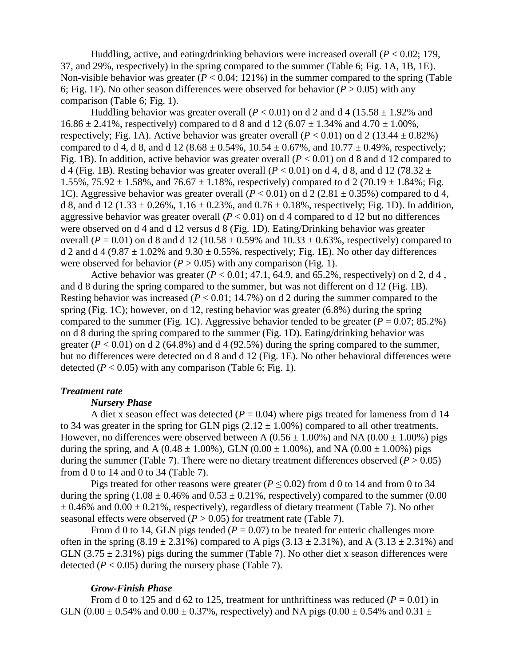Huddling, active, and eating/drinking behaviors were increased overall (*P* < 0.02; 179, 37, and 29%, respectively) in the spring compared to the summer (Table 6; Fig. 1A, 1B, 1E). Non-visible behavior was greater  $(P < 0.04; 121\%)$  in the summer compared to the spring (Table 6; Fig. 1F). No other season differences were observed for behavior ( $P > 0.05$ ) with any comparison (Table 6; Fig. 1).

Huddling behavior was greater overall ( $P < 0.01$ ) on d 2 and d 4 (15.58  $\pm$  1.92% and  $16.86 \pm 2.41\%$ , respectively) compared to d 8 and d 12 (6.07  $\pm$  1.34% and 4.70  $\pm$  1.00%, respectively; Fig. 1A). Active behavior was greater overall  $(P < 0.01)$  on d 2 (13.44  $\pm$  0.82%) compared to d 4, d 8, and d 12 (8.68  $\pm$  0.54%, 10.54  $\pm$  0.67%, and 10.77  $\pm$  0.49%, respectively; Fig. 1B). In addition, active behavior was greater overall  $(P < 0.01)$  on d 8 and d 12 compared to d 4 (Fig. 1B). Resting behavior was greater overall ( $P < 0.01$ ) on d 4, d 8, and d 12 (78.32  $\pm$ 1.55%,  $75.92 \pm 1.58$ %, and  $76.67 \pm 1.18$ %, respectively) compared to d 2 (70.19  $\pm$  1.84%; Fig. 1C). Aggressive behavior was greater overall  $(P < 0.01)$  on d 2 (2.81  $\pm$  0.35%) compared to d 4, d 8, and d 12 (1.33  $\pm$  0.26%, 1.16  $\pm$  0.23%, and 0.76  $\pm$  0.18%, respectively; Fig. 1D). In addition, aggressive behavior was greater overall  $(P < 0.01)$  on d 4 compared to d 12 but no differences were observed on d 4 and d 12 versus d 8 (Fig. 1D). Eating/Drinking behavior was greater overall ( $P = 0.01$ ) on d 8 and d 12 (10.58  $\pm$  0.59% and 10.33  $\pm$  0.63%, respectively) compared to d 2 and d 4 (9.87  $\pm$  1.02% and 9.30  $\pm$  0.55%, respectively; Fig. 1E). No other day differences were observed for behavior ( $P > 0.05$ ) with any comparison (Fig. 1).

Active behavior was greater  $(P < 0.01; 47.1, 64.9,$  and  $65.2\%$ , respectively) on d 2, d 4, and d 8 during the spring compared to the summer, but was not different on d 12 (Fig. 1B). Resting behavior was increased (*P* < 0.01; 14.7%) on d 2 during the summer compared to the spring (Fig. 1C); however, on d 12, resting behavior was greater (6.8%) during the spring compared to the summer (Fig. 1C). Aggressive behavior tended to be greater  $(P = 0.07; 85.2\%)$ on d 8 during the spring compared to the summer (Fig. 1D). Eating/drinking behavior was greater  $(P < 0.01)$  on d 2 (64.8%) and d 4 (92.5%) during the spring compared to the summer, but no differences were detected on d 8 and d 12 (Fig. 1E). No other behavioral differences were detected  $(P < 0.05)$  with any comparison (Table 6; Fig. 1).

### *Treatment rate*

#### *Nursery Phase*

A diet x season effect was detected  $(P = 0.04)$  where pigs treated for lameness from d 14 to 34 was greater in the spring for GLN pigs  $(2.12 \pm 1.00\%)$  compared to all other treatments. However, no differences were observed between A ( $0.56 \pm 1.00\%$ ) and NA ( $0.00 \pm 1.00\%$ ) pigs during the spring, and A (0.48  $\pm$  1.00%), GLN (0.00  $\pm$  1.00%), and NA (0.00  $\pm$  1.00%) pigs during the summer (Table 7). There were no dietary treatment differences observed ( $P > 0.05$ ) from d 0 to 14 and 0 to 34 (Table 7).

Pigs treated for other reasons were greater ( $P \le 0.02$ ) from d 0 to 14 and from 0 to 34 during the spring (1.08  $\pm$  0.46% and 0.53  $\pm$  0.21%, respectively) compared to the summer (0.00  $\pm$  0.46% and 0.00  $\pm$  0.21%, respectively), regardless of dietary treatment (Table 7). No other seasonal effects were observed  $(P > 0.05)$  for treatment rate (Table 7).

From d 0 to 14, GLN pigs tended ( $P = 0.07$ ) to be treated for enteric challenges more often in the spring  $(8.19 \pm 2.31\%)$  compared to A pigs  $(3.13 \pm 2.31\%)$ , and A  $(3.13 \pm 2.31\%)$  and GLN  $(3.75 \pm 2.31\%)$  pigs during the summer (Table 7). No other diet x season differences were detected  $(P < 0.05)$  during the nursery phase (Table 7).

### *Grow-Finish Phase*

From d 0 to 125 and d 62 to 125, treatment for unthriftiness was reduced  $(P = 0.01)$  in GLN (0.00  $\pm$  0.54% and 0.00  $\pm$  0.37%, respectively) and NA pigs (0.00  $\pm$  0.54% and 0.31  $\pm$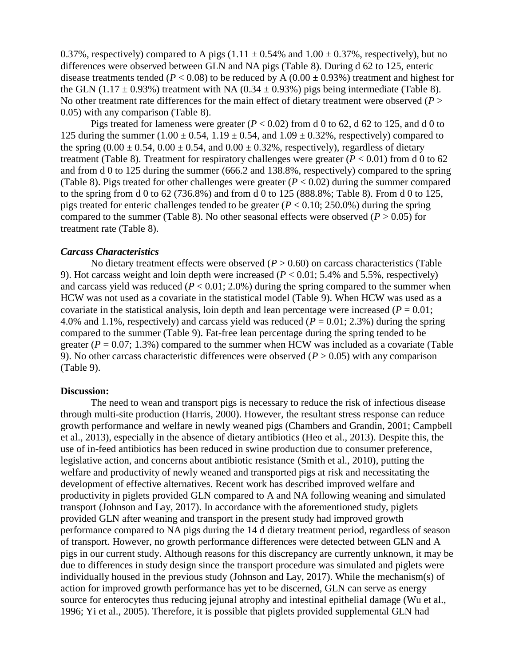0.37%, respectively) compared to A pigs  $(1.11 \pm 0.54\%$  and  $1.00 \pm 0.37\%$ , respectively), but no differences were observed between GLN and NA pigs (Table 8). During d 62 to 125, enteric disease treatments tended ( $P < 0.08$ ) to be reduced by A ( $0.00 \pm 0.93$ %) treatment and highest for the GLN (1.17  $\pm$  0.93%) treatment with NA (0.34  $\pm$  0.93%) pigs being intermediate (Table 8). No other treatment rate differences for the main effect of dietary treatment were observed (*P* > 0.05) with any comparison (Table 8).

Pigs treated for lameness were greater  $(P < 0.02)$  from d 0 to 62, d 62 to 125, and d 0 to 125 during the summer  $(1.00 \pm 0.54, 1.19 \pm 0.54, \text{ and } 1.09 \pm 0.32\%$ , respectively) compared to the spring  $(0.00 \pm 0.54, 0.00 \pm 0.54,$  and  $0.00 \pm 0.32\%$ , respectively), regardless of dietary treatment (Table 8). Treatment for respiratory challenges were greater  $(P < 0.01)$  from d 0 to 62 and from d 0 to 125 during the summer (666.2 and 138.8%, respectively) compared to the spring (Table 8). Pigs treated for other challenges were greater  $(P < 0.02)$  during the summer compared to the spring from d 0 to 62 (736.8%) and from d 0 to 125 (888.8%; Table 8). From d 0 to 125, pigs treated for enteric challenges tended to be greater  $(P < 0.10; 250.0\%)$  during the spring compared to the summer (Table 8). No other seasonal effects were observed ( $P > 0.05$ ) for treatment rate (Table 8).

### *Carcass Characteristics*

No dietary treatment effects were observed  $(P > 0.60)$  on carcass characteristics (Table 9). Hot carcass weight and loin depth were increased (*P* < 0.01; 5.4% and 5.5%, respectively) and carcass yield was reduced  $(P < 0.01; 2.0\%)$  during the spring compared to the summer when HCW was not used as a covariate in the statistical model (Table 9). When HCW was used as a covariate in the statistical analysis, loin depth and lean percentage were increased ( $P = 0.01$ ; 4.0% and 1.1%, respectively) and carcass yield was reduced  $(P = 0.01; 2.3%)$  during the spring compared to the summer (Table 9). Fat-free lean percentage during the spring tended to be greater ( $P = 0.07$ ; 1.3%) compared to the summer when HCW was included as a covariate (Table 9). No other carcass characteristic differences were observed  $(P > 0.05)$  with any comparison (Table 9).

#### **Discussion:**

The need to wean and transport pigs is necessary to reduce the risk of infectious disease through multi-site production (Harris, 2000). However, the resultant stress response can reduce growth performance and welfare in newly weaned pigs (Chambers and Grandin, 2001; Campbell et al., 2013), especially in the absence of dietary antibiotics (Heo et al., 2013). Despite this, the use of in-feed antibiotics has been reduced in swine production due to consumer preference, legislative action, and concerns about antibiotic resistance (Smith et al., 2010), putting the welfare and productivity of newly weaned and transported pigs at risk and necessitating the development of effective alternatives. Recent work has described improved welfare and productivity in piglets provided GLN compared to A and NA following weaning and simulated transport (Johnson and Lay, 2017). In accordance with the aforementioned study, piglets provided GLN after weaning and transport in the present study had improved growth performance compared to NA pigs during the 14 d dietary treatment period, regardless of season of transport. However, no growth performance differences were detected between GLN and A pigs in our current study. Although reasons for this discrepancy are currently unknown, it may be due to differences in study design since the transport procedure was simulated and piglets were individually housed in the previous study (Johnson and Lay, 2017). While the mechanism(s) of action for improved growth performance has yet to be discerned, GLN can serve as energy source for enterocytes thus reducing jejunal atrophy and intestinal epithelial damage (Wu et al., 1996; Yi et al., 2005). Therefore, it is possible that piglets provided supplemental GLN had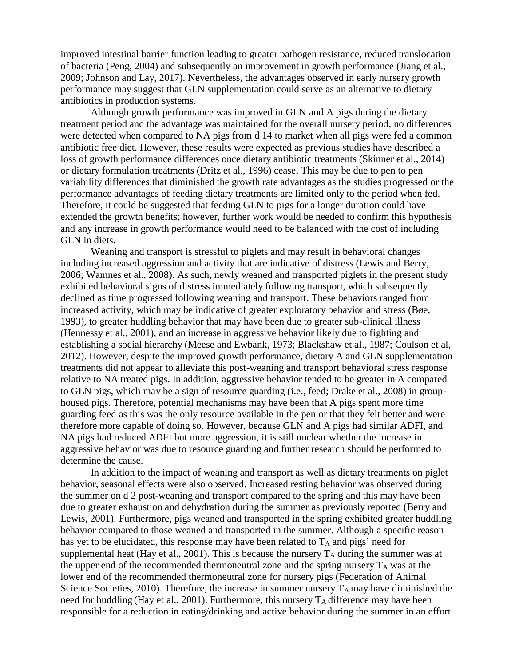improved intestinal barrier function leading to greater pathogen resistance, reduced translocation of bacteria (Peng, 2004) and subsequently an improvement in growth performance (Jiang et al., 2009; Johnson and Lay, 2017). Nevertheless, the advantages observed in early nursery growth performance may suggest that GLN supplementation could serve as an alternative to dietary antibiotics in production systems.

Although growth performance was improved in GLN and A pigs during the dietary treatment period and the advantage was maintained for the overall nursery period, no differences were detected when compared to NA pigs from d 14 to market when all pigs were fed a common antibiotic free diet. However, these results were expected as previous studies have described a loss of growth performance differences once dietary antibiotic treatments (Skinner et al., 2014) or dietary formulation treatments (Dritz et al., 1996) cease. This may be due to pen to pen variability differences that diminished the growth rate advantages as the studies progressed or the performance advantages of feeding dietary treatments are limited only to the period when fed. Therefore, it could be suggested that feeding GLN to pigs for a longer duration could have extended the growth benefits; however, further work would be needed to confirm this hypothesis and any increase in growth performance would need to be balanced with the cost of including GLN in diets.

Weaning and transport is stressful to piglets and may result in behavioral changes including increased aggression and activity that are indicative of distress (Lewis and Berry, 2006; Wamnes et al., 2008). As such, newly weaned and transported piglets in the present study exhibited behavioral signs of distress immediately following transport, which subsequently declined as time progressed following weaning and transport. These behaviors ranged from increased activity, which may be indicative of greater exploratory behavior and stress (Bøe, 1993), to greater huddling behavior that may have been due to greater sub-clinical illness (Hennessy et al., 2001), and an increase in aggressive behavior likely due to fighting and establishing a social hierarchy (Meese and Ewbank, 1973; Blackshaw et al., 1987; Coulson et al, 2012). However, despite the improved growth performance, dietary A and GLN supplementation treatments did not appear to alleviate this post-weaning and transport behavioral stress response relative to NA treated pigs. In addition, aggressive behavior tended to be greater in A compared to GLN pigs, which may be a sign of resource guarding (i.e., feed; Drake et al., 2008) in grouphoused pigs. Therefore, potential mechanisms may have been that A pigs spent more time guarding feed as this was the only resource available in the pen or that they felt better and were therefore more capable of doing so. However, because GLN and A pigs had similar ADFI, and NA pigs had reduced ADFI but more aggression, it is still unclear whether the increase in aggressive behavior was due to resource guarding and further research should be performed to determine the cause.

In addition to the impact of weaning and transport as well as dietary treatments on piglet behavior, seasonal effects were also observed. Increased resting behavior was observed during the summer on d 2 post-weaning and transport compared to the spring and this may have been due to greater exhaustion and dehydration during the summer as previously reported (Berry and Lewis, 2001). Furthermore, pigs weaned and transported in the spring exhibited greater huddling behavior compared to those weaned and transported in the summer. Although a specific reason has yet to be elucidated, this response may have been related to  $T_A$  and pigs' need for supplemental heat (Hay et al., 2001). This is because the nursery  $T_A$  during the summer was at the upper end of the recommended thermoneutral zone and the spring nursery  $T_A$  was at the lower end of the recommended thermoneutral zone for nursery pigs (Federation of Animal Science Societies, 2010). Therefore, the increase in summer nursery  $T_A$  may have diminished the need for huddling (Hay et al., 2001). Furthermore, this nursery  $T_A$  difference may have been responsible for a reduction in eating/drinking and active behavior during the summer in an effort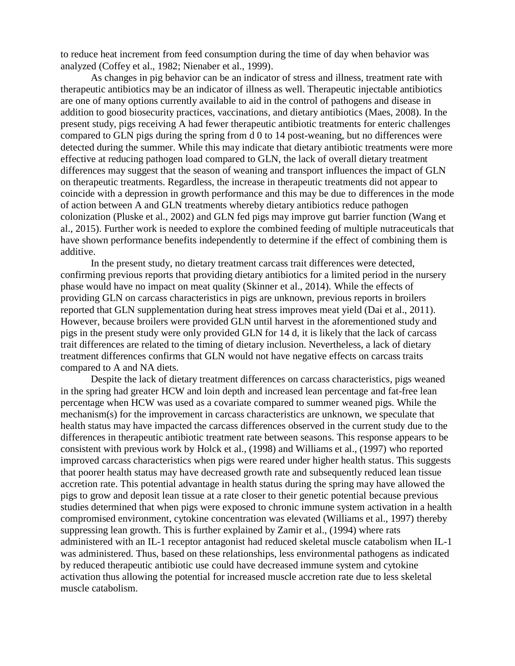to reduce heat increment from feed consumption during the time of day when behavior was analyzed (Coffey et al., 1982; Nienaber et al., 1999).

As changes in pig behavior can be an indicator of stress and illness, treatment rate with therapeutic antibiotics may be an indicator of illness as well. Therapeutic injectable antibiotics are one of many options currently available to aid in the control of pathogens and disease in addition to good biosecurity practices, vaccinations, and dietary antibiotics (Maes, 2008). In the present study, pigs receiving A had fewer therapeutic antibiotic treatments for enteric challenges compared to GLN pigs during the spring from d 0 to 14 post-weaning, but no differences were detected during the summer. While this may indicate that dietary antibiotic treatments were more effective at reducing pathogen load compared to GLN, the lack of overall dietary treatment differences may suggest that the season of weaning and transport influences the impact of GLN on therapeutic treatments. Regardless, the increase in therapeutic treatments did not appear to coincide with a depression in growth performance and this may be due to differences in the mode of action between A and GLN treatments whereby dietary antibiotics reduce pathogen colonization (Pluske et al., 2002) and GLN fed pigs may improve gut barrier function (Wang et al., 2015). Further work is needed to explore the combined feeding of multiple nutraceuticals that have shown performance benefits independently to determine if the effect of combining them is additive.

In the present study, no dietary treatment carcass trait differences were detected, confirming previous reports that providing dietary antibiotics for a limited period in the nursery phase would have no impact on meat quality (Skinner et al., 2014). While the effects of providing GLN on carcass characteristics in pigs are unknown, previous reports in broilers reported that GLN supplementation during heat stress improves meat yield (Dai et al., 2011). However, because broilers were provided GLN until harvest in the aforementioned study and pigs in the present study were only provided GLN for 14 d, it is likely that the lack of carcass trait differences are related to the timing of dietary inclusion. Nevertheless, a lack of dietary treatment differences confirms that GLN would not have negative effects on carcass traits compared to A and NA diets.

Despite the lack of dietary treatment differences on carcass characteristics, pigs weaned in the spring had greater HCW and loin depth and increased lean percentage and fat-free lean percentage when HCW was used as a covariate compared to summer weaned pigs. While the mechanism(s) for the improvement in carcass characteristics are unknown, we speculate that health status may have impacted the carcass differences observed in the current study due to the differences in therapeutic antibiotic treatment rate between seasons. This response appears to be consistent with previous work by Holck et al., (1998) and Williams et al., (1997) who reported improved carcass characteristics when pigs were reared under higher health status. This suggests that poorer health status may have decreased growth rate and subsequently reduced lean tissue accretion rate. This potential advantage in health status during the spring may have allowed the pigs to grow and deposit lean tissue at a rate closer to their genetic potential because previous studies determined that when pigs were exposed to chronic immune system activation in a health compromised environment, cytokine concentration was elevated (Williams et al., 1997) thereby suppressing lean growth. This is further explained by Zamir et al., (1994) where rats administered with an IL-1 receptor antagonist had reduced skeletal muscle catabolism when IL-1 was administered. Thus, based on these relationships, less environmental pathogens as indicated by reduced therapeutic antibiotic use could have decreased immune system and cytokine activation thus allowing the potential for increased muscle accretion rate due to less skeletal muscle catabolism.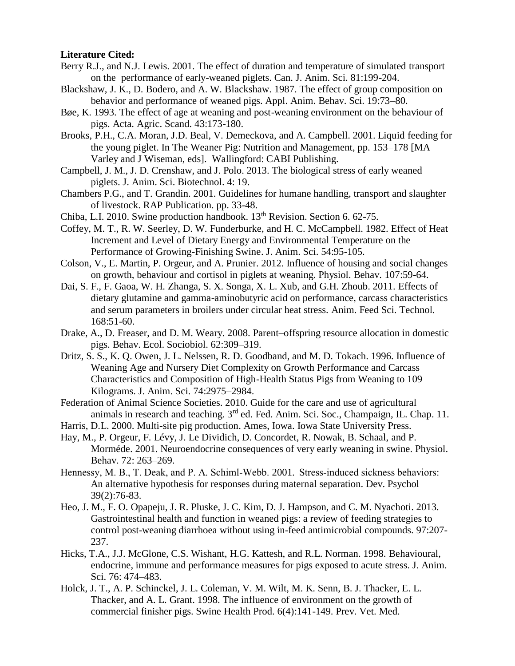### **Literature Cited:**

- Berry R.J., and N.J. Lewis. 2001. The effect of duration and temperature of simulated transport on the performance of early-weaned piglets. Can. J. Anim. Sci. 81:199-204.
- Blackshaw, J. K., D. Bodero, and A. W. Blackshaw. 1987. The effect of group composition on behavior and performance of weaned pigs. Appl. Anim. Behav. Sci. 19:73–80.
- Bøe, K. 1993. The effect of age at weaning and post-weaning environment on the behaviour of pigs. Acta. Agric. Scand. 43:173-180.
- Brooks, P.H., C.A. Moran, J.D. Beal, V. Demeckova, and A. Campbell. 2001. Liquid feeding for the young piglet. In The Weaner Pig: Nutrition and Management, pp. 153–178 [MA Varley and J Wiseman, eds]. Wallingford: CABI Publishing.
- Campbell, J. M., J. D. Crenshaw, and J. Polo. 2013. The biological stress of early weaned piglets. J. Anim. Sci. Biotechnol. 4: 19.
- Chambers P.G., and T. Grandin. 2001. Guidelines for humane handling, transport and slaughter of livestock. RAP Publication. pp. 33-48.
- Chiba, L.I. 2010. Swine production handbook. 13<sup>th</sup> Revision. Section 6. 62-75.
- Coffey, M. T., R. W. Seerley, D. W. Funderburke, and H. C. McCampbell. 1982. Effect of Heat Increment and Level of Dietary Energy and Environmental Temperature on the Performance of Growing-Finishing Swine. J. Anim. Sci. 54:95-105.
- Colson, V., E. Martin, P. Orgeur, and A. Prunier. 2012. Influence of housing and social changes on growth, behaviour and cortisol in piglets at weaning. Physiol. Behav. 107:59-64.
- Dai, S. F., F. Gaoa, W. H. Zhanga, S. X. Songa, X. L. Xub, and G.H. Zhoub. 2011. Effects of dietary glutamine and gamma-aminobutyric acid on performance, carcass characteristics and serum parameters in broilers under circular heat stress. Anim. Feed Sci. Technol. 168:51-60.
- Drake, A., D. Freaser, and D. M. Weary. 2008. Parent–offspring resource allocation in domestic pigs. Behav. Ecol. Sociobiol. 62:309–319.
- Dritz, S. S., K. Q. Owen, J. L. Nelssen, R. D. Goodband, and M. D. Tokach. 1996. Influence of Weaning Age and Nursery Diet Complexity on Growth Performance and Carcass Characteristics and Composition of High-Health Status Pigs from Weaning to 109 Kilograms. J. Anim. Sci. 74:2975–2984.
- Federation of Animal Science Societies. 2010. Guide for the care and use of agricultural animals in research and teaching. 3rd ed. Fed. Anim. Sci. Soc., Champaign, IL. Chap. 11.
- Harris, D.L. 2000. Multi-site pig production. Ames, Iowa. Iowa State University Press.
- Hay, M., P. Orgeur, F. Lévy, J. Le Dividich, D. Concordet, R. Nowak, B. Schaal, and P. Morméde. 2001. Neuroendocrine consequences of very early weaning in swine. Physiol. Behav. 72: 263–269.
- Hennessy, M. B., T. Deak, and P. A. Schiml-Webb. 2001. Stress-induced sickness behaviors: An alternative hypothesis for responses during maternal separation. Dev. Psychol 39(2):76-83.
- Heo, J. M., F. O. Opapeju, J. R. Pluske, J. C. Kim, D. J. Hampson, and C. M. Nyachoti. 2013. Gastrointestinal health and function in weaned pigs: a review of feeding strategies to control post-weaning diarrhoea without using in-feed antimicrobial compounds. 97:207- 237.
- Hicks, T.A., J.J. McGlone, C.S. Wishant, H.G. Kattesh, and R.L. Norman. 1998. Behavioural, endocrine, immune and performance measures for pigs exposed to acute stress. J. Anim. Sci. 76: 474–483.
- Holck, J. T., A. P. Schinckel, J. L. Coleman, V. M. Wilt, M. K. Senn, B. J. Thacker, E. L. Thacker, and A. L. Grant. 1998. The influence of environment on the growth of commercial finisher pigs. Swine Health Prod. 6(4):141-149. Prev. Vet. Med.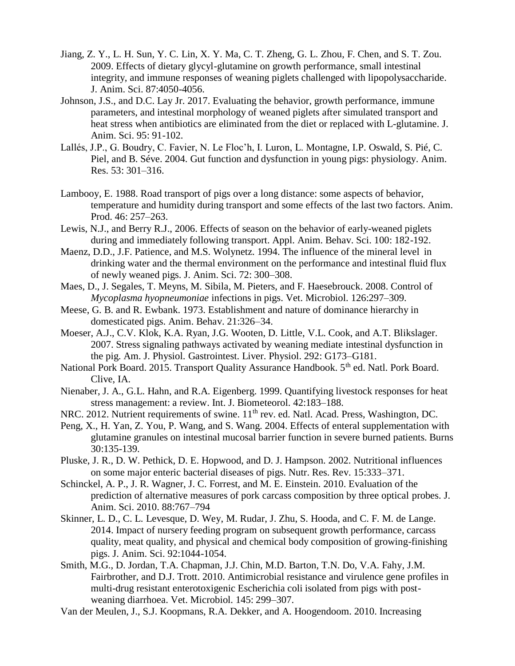- Jiang, Z. Y., L. H. Sun, Y. C. Lin, X. Y. Ma, C. T. Zheng, G. L. Zhou, F. Chen, and S. T. Zou. 2009. Effects of dietary glycyl-glutamine on growth performance, small intestinal integrity, and immune responses of weaning piglets challenged with lipopolysaccharide. J. Anim. Sci. 87:4050-4056.
- Johnson, J.S., and D.C. Lay Jr. 2017. Evaluating the behavior, growth performance, immune parameters, and intestinal morphology of weaned piglets after simulated transport and heat stress when antibiotics are eliminated from the diet or replaced with L-glutamine. J. Anim. Sci. 95: 91-102.
- Lallés, J.P., G. Boudry, C. Favier, N. Le Floc'h, I. Luron, L. Montagne, I.P. Oswald, S. Pié, C. Piel, and B. Séve. 2004. Gut function and dysfunction in young pigs: physiology. Anim. Res. 53: 301–316.
- Lambooy, E. 1988. Road transport of pigs over a long distance: some aspects of behavior, temperature and humidity during transport and some effects of the last two factors. Anim. Prod. 46: 257–263.
- Lewis, N.J., and Berry R.J., 2006. Effects of season on the behavior of early-weaned piglets during and immediately following transport. Appl. Anim. Behav. Sci. 100: 182-192.
- Maenz, D.D., J.F. Patience, and M.S. Wolynetz. 1994. The influence of the mineral level in drinking water and the thermal environment on the performance and intestinal fluid flux of newly weaned pigs. J. Anim. Sci. 72: 300–308.
- Maes, D., J. Segales, T. Meyns, M. Sibila, M. Pieters, and F. Haesebrouck. 2008. Control of *Mycoplasma hyopneumoniae* infections in pigs. Vet. Microbiol. 126:297–309.
- Meese, G. B. and R. Ewbank. 1973. Establishment and nature of dominance hierarchy in domesticated pigs. Anim. Behav. 21:326–34.
- Moeser, A.J., C.V. Klok, K.A. Ryan, J.G. Wooten, D. Little, V.L. Cook, and A.T. Blikslager. 2007. Stress signaling pathways activated by weaning mediate intestinal dysfunction in the pig. Am. J. Physiol. Gastrointest. Liver. Physiol. 292: G173–G181.
- National Pork Board. 2015. Transport Quality Assurance Handbook. 5<sup>th</sup> ed. Natl. Pork Board. Clive, IA.
- Nienaber, J. A., G.L. Hahn, and R.A. Eigenberg. 1999. Quantifying livestock responses for heat stress management: a review. Int. J. Biometeorol. 42:183–188.
- NRC. 2012. Nutrient requirements of swine. 11<sup>th</sup> rev. ed. Natl. Acad. Press, Washington, DC.
- Peng, X., H. Yan, Z. You, P. Wang, and S. Wang. 2004. Effects of enteral supplementation with glutamine granules on intestinal mucosal barrier function in severe burned patients. Burns 30:135-139.
- Pluske, J. R., D. W. Pethick, D. E. Hopwood, and D. J. Hampson. 2002. Nutritional influences on some major enteric bacterial diseases of pigs. Nutr. Res. Rev. 15:333–371.
- Schinckel, A. P., J. R. Wagner, J. C. Forrest, and M. E. Einstein. 2010. Evaluation of the prediction of alternative measures of pork carcass composition by three optical probes. J. Anim. Sci. 2010. 88:767–794
- Skinner, L. D., C. L. Levesque, D. Wey, M. Rudar, J. Zhu, S. Hooda, and C. F. M. de Lange. 2014. Impact of nursery feeding program on subsequent growth performance, carcass quality, meat quality, and physical and chemical body composition of growing-finishing pigs. J. Anim. Sci. 92:1044-1054.
- Smith, M.G., D. Jordan, T.A. Chapman, J.J. Chin, M.D. Barton, T.N. Do, V.A. Fahy, J.M. Fairbrother, and D.J. Trott. 2010. Antimicrobial resistance and virulence gene profiles in multi-drug resistant enterotoxigenic Escherichia coli isolated from pigs with postweaning diarrhoea. Vet. Microbiol. 145: 299–307.
- Van der Meulen, J., S.J. Koopmans, R.A. Dekker, and A. Hoogendoom. 2010. Increasing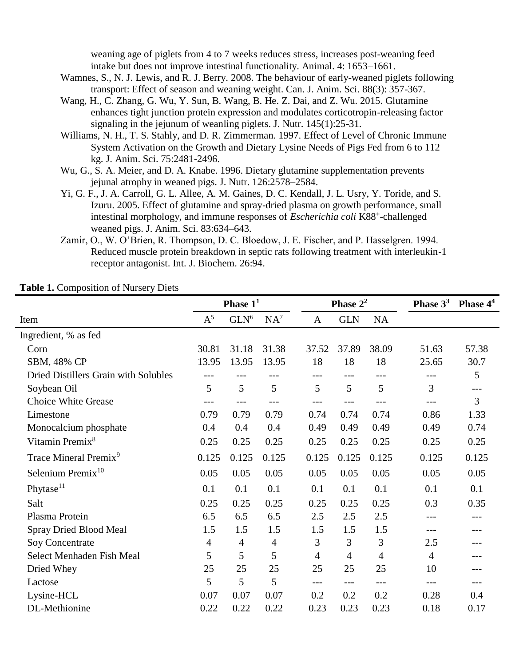weaning age of piglets from 4 to 7 weeks reduces stress, increases post-weaning feed intake but does not improve intestinal functionality. Animal. 4: 1653–1661.

- Wamnes, S., N. J. Lewis, and R. J. Berry. 2008. The behaviour of early-weaned piglets following transport: Effect of season and weaning weight. Can. J. Anim. Sci. 88(3): 357-367.
- Wang, H., C. Zhang, G. Wu, Y. Sun, B. Wang, B. He. Z. Dai, and Z. Wu. 2015. Glutamine enhances tight junction protein expression and modulates corticotropin-releasing factor signaling in the jejunum of weanling piglets. J. Nutr. 145(1):25-31.
- Williams, N. H., T. S. Stahly, and D. R. Zimmerman. 1997. Effect of Level of Chronic Immune System Activation on the Growth and Dietary Lysine Needs of Pigs Fed from 6 to 112 kg. J. Anim. Sci. 75:2481-2496.
- Wu, G., S. A. Meier, and D. A. Knabe. 1996. Dietary glutamine supplementation prevents jejunal atrophy in weaned pigs. J. Nutr. 126:2578–2584.
- Yi, G. F., J. A. Carroll, G. L. Allee, A. M. Gaines, D. C. Kendall, J. L. Usry, Y. Toride, and S. Izuru. 2005. Effect of glutamine and spray-dried plasma on growth performance, small intestinal morphology, and immune responses of *Escherichia coli* K88<sup>+</sup>-challenged weaned pigs. J. Anim. Sci. 83:634–643.
- Zamir, O., W. O'Brien, R. Thompson, D. C. Bloedow, J. E. Fischer, and P. Hasselgren. 1994. Reduced muscle protein breakdown in septic rats following treatment with interleukin-1 receptor antagonist. Int. J. Biochem. 26:94.

|                                      |                | Phase $11$     |                |                | Phase $2^2$    |                | Phase $3^3$    | Phase 4 <sup>4</sup> |
|--------------------------------------|----------------|----------------|----------------|----------------|----------------|----------------|----------------|----------------------|
| Item                                 | $A^5$          | $GLN^6$        | $NA^7$         | $\mathbf{A}$   | <b>GLN</b>     | <b>NA</b>      |                |                      |
| Ingredient, % as fed                 |                |                |                |                |                |                |                |                      |
| Corn                                 | 30.81          | 31.18          | 31.38          | 37.52          | 37.89          | 38.09          | 51.63          | 57.38                |
| SBM, 48% CP                          | 13.95          | 13.95          | 13.95          | 18             | 18             | 18             | 25.65          | 30.7                 |
| Dried Distillers Grain with Solubles |                |                |                | ---            | ---            |                |                | 5                    |
| Soybean Oil                          | 5              | 5              | 5              | 5              | 5              | 5              | 3              | ---                  |
| <b>Choice White Grease</b>           | $---$          | ---            | $---$          | $---$          | ---            |                | $---$          | $\overline{3}$       |
| Limestone                            | 0.79           | 0.79           | 0.79           | 0.74           | 0.74           | 0.74           | 0.86           | 1.33                 |
| Monocalcium phosphate                | 0.4            | 0.4            | 0.4            | 0.49           | 0.49           | 0.49           | 0.49           | 0.74                 |
| Vitamin Premix <sup>8</sup>          | 0.25           | 0.25           | 0.25           | 0.25           | 0.25           | 0.25           | 0.25           | 0.25                 |
| Trace Mineral Premix <sup>9</sup>    | 0.125          | 0.125          | 0.125          | 0.125          | 0.125          | 0.125          | 0.125          | 0.125                |
| Selenium Premix <sup>10</sup>        | 0.05           | 0.05           | 0.05           | 0.05           | 0.05           | 0.05           | 0.05           | 0.05                 |
| Phytase <sup>11</sup>                | 0.1            | 0.1            | 0.1            | 0.1            | 0.1            | 0.1            | 0.1            | 0.1                  |
| Salt                                 | 0.25           | 0.25           | 0.25           | 0.25           | 0.25           | 0.25           | 0.3            | 0.35                 |
| Plasma Protein                       | 6.5            | 6.5            | 6.5            | 2.5            | 2.5            | 2.5            | ---            |                      |
| Spray Dried Blood Meal               | 1.5            | 1.5            | 1.5            | 1.5            | 1.5            | 1.5            | ---            |                      |
| Soy Concentrate                      | $\overline{4}$ | $\overline{4}$ | $\overline{4}$ | 3              | 3              | 3              | 2.5            |                      |
| Select Menhaden Fish Meal            | 5              | 5              | 5              | $\overline{4}$ | $\overline{4}$ | $\overline{4}$ | $\overline{4}$ | ---                  |
| Dried Whey                           | 25             | 25             | 25             | 25             | 25             | 25             | 10             |                      |
| Lactose                              | 5              | 5              | 5              | ---            | $---$          | $---$          | $---$          |                      |
| Lysine-HCL                           | 0.07           | 0.07           | 0.07           | 0.2            | 0.2            | 0.2            | 0.28           | 0.4                  |
| DL-Methionine                        | 0.22           | 0.22           | 0.22           | 0.23           | 0.23           | 0.23           | 0.18           | 0.17                 |

### **Table 1.** Composition of Nursery Diets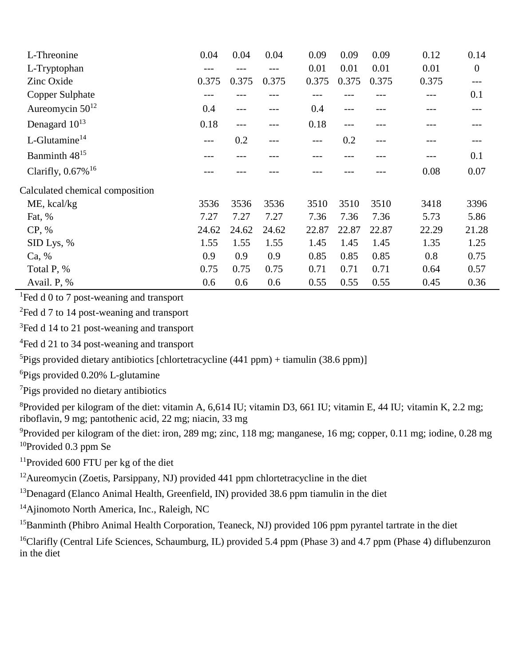| L-Threonine                      | 0.04  | 0.04  | 0.04  | 0.09  | 0.09  | 0.09  | 0.12  | 0.14             |
|----------------------------------|-------|-------|-------|-------|-------|-------|-------|------------------|
| L-Tryptophan                     | ---   |       | ---   | 0.01  | 0.01  | 0.01  | 0.01  | $\boldsymbol{0}$ |
| Zinc Oxide                       | 0.375 | 0.375 | 0.375 | 0.375 | 0.375 | 0.375 | 0.375 | $---$            |
| Copper Sulphate                  |       |       |       |       |       |       |       | 0.1              |
| Aureomycin $50^{12}$             | 0.4   | ---   | ---   | 0.4   | ---   |       |       | ---              |
| Denagard 10 <sup>13</sup>        | 0.18  | ---   | ---   | 0.18  | $---$ |       |       |                  |
| L-Glutamine <sup>14</sup>        | ---   | 0.2   | ---   | ---   | 0.2   | ---   |       |                  |
| Banminth 48 <sup>15</sup>        |       |       |       |       |       |       |       | 0.1              |
| Clarifly, $0.67\%$ <sup>16</sup> |       |       |       |       |       |       | 0.08  | 0.07             |
| Calculated chemical composition  |       |       |       |       |       |       |       |                  |
| ME, kcal/kg                      | 3536  | 3536  | 3536  | 3510  | 3510  | 3510  | 3418  | 3396             |
| Fat, %                           | 7.27  | 7.27  | 7.27  | 7.36  | 7.36  | 7.36  | 5.73  | 5.86             |
| CP, %                            | 24.62 | 24.62 | 24.62 | 22.87 | 22.87 | 22.87 | 22.29 | 21.28            |
| SID Lys, %                       | 1.55  | 1.55  | 1.55  | 1.45  | 1.45  | 1.45  | 1.35  | 1.25             |
| Ca, %                            | 0.9   | 0.9   | 0.9   | 0.85  | 0.85  | 0.85  | 0.8   | 0.75             |
| Total P, %                       | 0.75  | 0.75  | 0.75  | 0.71  | 0.71  | 0.71  | 0.64  | 0.57             |
| Avail. P, %                      | 0.6   | 0.6   | 0.6   | 0.55  | 0.55  | 0.55  | 0.45  | 0.36             |

<sup>1</sup>Fed d 0 to 7 post-weaning and transport

<sup>2</sup>Fed d 7 to 14 post-weaning and transport

<sup>3</sup>Fed d 14 to 21 post-weaning and transport

<sup>4</sup>Fed d 21 to 34 post-weaning and transport

<sup>5</sup>Pigs provided dietary antibiotics [chlortetracycline (441 ppm) + tiamulin (38.6 ppm)]

<sup>6</sup>Pigs provided 0.20% L-glutamine

<sup>7</sup>Pigs provided no dietary antibiotics

<sup>8</sup>Provided per kilogram of the diet: vitamin A,  $6,614$  IU; vitamin D3, 661 IU; vitamin E, 44 IU; vitamin K, 2.2 mg; riboflavin, 9 mg; pantothenic acid, 22 mg; niacin, 33 mg

<sup>9</sup>Provided per kilogram of the diet: iron, 289 mg; zinc, 118 mg; manganese, 16 mg; copper, 0.11 mg; iodine, 0.28 mg <sup>10</sup>Provided 0.3 ppm Se

<sup>11</sup>Provided 600 FTU per kg of the diet

<sup>12</sup>Aureomycin (Zoetis, Parsippany, NJ) provided 441 ppm chlortetracycline in the diet

<sup>13</sup>Denagard (Elanco Animal Health, Greenfield, IN) provided 38.6 ppm tiamulin in the diet

<sup>14</sup>Ajinomoto North America, Inc., Raleigh, NC

<sup>15</sup>Banminth (Phibro Animal Health Corporation, Teaneck, NJ) provided 106 ppm pyrantel tartrate in the diet

<sup>16</sup>Clarifly (Central Life Sciences, Schaumburg, IL) provided 5.4 ppm (Phase 3) and 4.7 ppm (Phase 4) diflubenzuron in the diet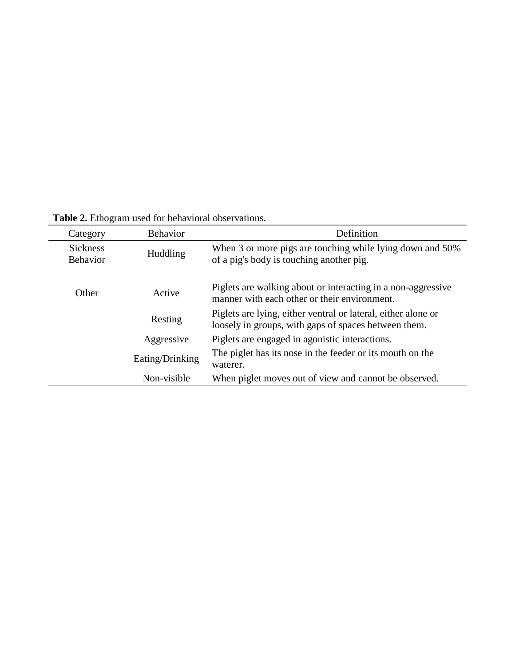| Category                           | <b>Behavior</b> | Definition                                                                                                            |
|------------------------------------|-----------------|-----------------------------------------------------------------------------------------------------------------------|
| <b>Sickness</b><br><b>Behavior</b> | <b>Huddling</b> | When 3 or more pigs are touching while lying down and 50%<br>of a pig's body is touching another pig.                 |
| Other                              | Active          | Piglets are walking about or interacting in a non-aggressive<br>manner with each other or their environment.          |
|                                    | Resting         | Piglets are lying, either ventral or lateral, either alone or<br>loosely in groups, with gaps of spaces between them. |
|                                    | Aggressive      | Piglets are engaged in agonistic interactions.                                                                        |
|                                    | Eating/Drinking | The piglet has its nose in the feeder or its mouth on the<br>waterer.                                                 |
|                                    | Non-visible     | When piglet moves out of view and cannot be observed.                                                                 |

**Table 2.** Ethogram used for behavioral observations.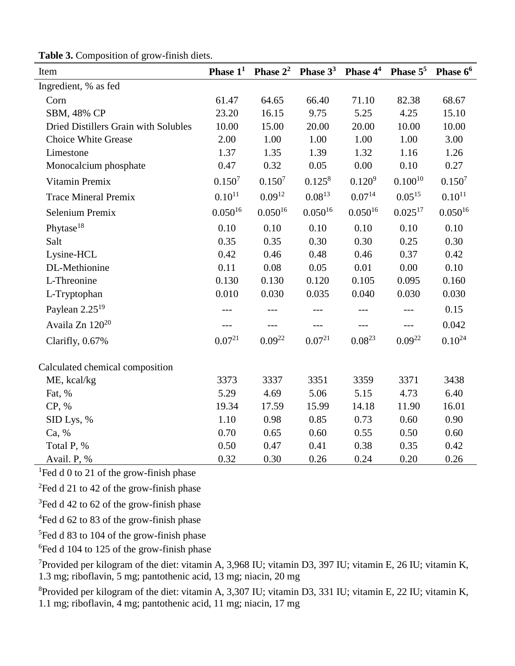| Item                                 | Phase $11$   | Phase $2^2$  | Phase $3^3$ Phase $4^4$ |              | Phase $5^5$  | Phase 6 <sup>6</sup> |
|--------------------------------------|--------------|--------------|-------------------------|--------------|--------------|----------------------|
| Ingredient, % as fed                 |              |              |                         |              |              |                      |
| Corn                                 | 61.47        | 64.65        | 66.40                   | 71.10        | 82.38        | 68.67                |
| SBM, 48% CP                          | 23.20        | 16.15        | 9.75                    | 5.25         | 4.25         | 15.10                |
| Dried Distillers Grain with Solubles | 10.00        | 15.00        | 20.00                   | 20.00        | 10.00        | 10.00                |
| <b>Choice White Grease</b>           | 2.00         | 1.00         | 1.00                    | 1.00         | 1.00         | 3.00                 |
| Limestone                            | 1.37         | 1.35         | 1.39                    | 1.32         | 1.16         | 1.26                 |
| Monocalcium phosphate                | 0.47         | 0.32         | 0.05                    | 0.00         | 0.10         | 0.27                 |
| Vitamin Premix                       | $0.150^{7}$  | $0.150^{7}$  | $0.125^8$               | $0.120^{9}$  | $0.100^{10}$ | $0.150^{7}$          |
| <b>Trace Mineral Premix</b>          | $0.10^{11}$  | $0.09^{12}$  | $0.08^{13}$             | $0.07^{14}$  | $0.05^{15}$  | $0.10^{11}$          |
| Selenium Premix                      | $0.050^{16}$ | $0.050^{16}$ | $0.050^{16}$            | $0.050^{16}$ | $0.025^{17}$ | $0.050^{16}$         |
| Phytase <sup>18</sup>                | 0.10         | 0.10         | 0.10                    | 0.10         | 0.10         | 0.10                 |
| Salt                                 | 0.35         | 0.35         | 0.30                    | 0.30         | 0.25         | 0.30                 |
| Lysine-HCL                           | 0.42         | 0.46         | 0.48                    | 0.46         | 0.37         | 0.42                 |
| DL-Methionine                        | 0.11         | 0.08         | 0.05                    | 0.01         | 0.00         | 0.10                 |
| L-Threonine                          | 0.130        | 0.130        | 0.120                   | 0.105        | 0.095        | 0.160                |
| L-Tryptophan                         | 0.010        | 0.030        | 0.035                   | 0.040        | 0.030        | 0.030                |
| Paylean $2.25^{19}$                  |              |              |                         |              |              | 0.15                 |
| Availa Zn 120 <sup>20</sup>          |              |              |                         |              | ---          | 0.042                |
| Clarifly, 0.67%                      | $0.07^{21}$  | $0.09^{22}$  | $0.07^{21}$             | $0.08^{23}$  | $0.09^{22}$  | $0.10^{24}$          |
| Calculated chemical composition      |              |              |                         |              |              |                      |
| ME, kcal/kg                          | 3373         | 3337         | 3351                    | 3359         | 3371         | 3438                 |
| Fat, %                               | 5.29         | 4.69         | 5.06                    | 5.15         | 4.73         | 6.40                 |
| CP, %                                | 19.34        | 17.59        | 15.99                   | 14.18        | 11.90        | 16.01                |
| SID Lys, %                           | 1.10         | 0.98         | 0.85                    | 0.73         | 0.60         | 0.90                 |
| Ca, %                                | 0.70         | 0.65         | 0.60                    | 0.55         | 0.50         | 0.60                 |
| Total P, %                           | 0.50         | 0.47         | 0.41                    | 0.38         | 0.35         | 0.42                 |
| Avail. P, %                          | 0.32         | 0.30         | 0.26                    | 0.24         | 0.20         | 0.26                 |

**Table 3.** Composition of grow-finish diets.

<sup>1</sup>Fed d 0 to 21 of the grow-finish phase

<sup>2</sup>Fed d 21 to 42 of the grow-finish phase

<sup>3</sup>Fed d 42 to 62 of the grow-finish phase

<sup>4</sup>Fed d 62 to 83 of the grow-finish phase

<sup>5</sup>Fed d 83 to 104 of the grow-finish phase

<sup>6</sup>Fed d 104 to 125 of the grow-finish phase

<sup>7</sup>Provided per kilogram of the diet: vitamin A, 3,968 IU; vitamin D3, 397 IU; vitamin E, 26 IU; vitamin K, 1.3 mg; riboflavin, 5 mg; pantothenic acid, 13 mg; niacin, 20 mg

<sup>8</sup>Provided per kilogram of the diet: vitamin A, 3,307 IU; vitamin D3, 331 IU; vitamin E, 22 IU; vitamin K, 1.1 mg; riboflavin, 4 mg; pantothenic acid, 11 mg; niacin, 17 mg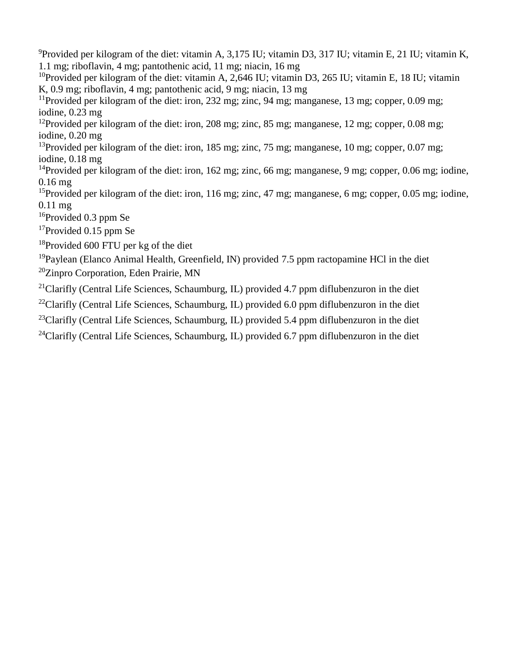<sup>9</sup>Provided per kilogram of the diet: vitamin A, 3,175 IU; vitamin D3, 317 IU; vitamin E, 21 IU; vitamin K, 1.1 mg; riboflavin, 4 mg; pantothenic acid, 11 mg; niacin, 16 mg

<sup>10</sup>Provided per kilogram of the diet: vitamin A, 2,646 IU; vitamin D3, 265 IU; vitamin E, 18 IU; vitamin K, 0.9 mg; riboflavin, 4 mg; pantothenic acid, 9 mg; niacin, 13 mg

<sup>11</sup>Provided per kilogram of the diet: iron, 232 mg; zinc, 94 mg; manganese, 13 mg; copper, 0.09 mg; iodine, 0.23 mg

<sup>12</sup>Provided per kilogram of the diet: iron, 208 mg; zinc, 85 mg; manganese, 12 mg; copper, 0.08 mg; iodine, 0.20 mg

<sup>13</sup>Provided per kilogram of the diet: iron, 185 mg; zinc, 75 mg; manganese, 10 mg; copper, 0.07 mg; iodine, 0.18 mg

<sup>14</sup>Provided per kilogram of the diet: iron, 162 mg; zinc, 66 mg; manganese, 9 mg; copper, 0.06 mg; iodine, 0.16 mg

<sup>15</sup>Provided per kilogram of the diet: iron, 116 mg; zinc, 47 mg; manganese, 6 mg; copper, 0.05 mg; iodine, 0.11 mg

<sup>16</sup>Provided 0.3 ppm Se

<sup>17</sup>Provided 0.15 ppm Se

<sup>18</sup>Provided 600 FTU per kg of the diet

<sup>19</sup>Pavlean (Elanco Animal Health, Greenfield, IN) provided 7.5 ppm ractopamine HCl in the diet <sup>20</sup>Zinpro Corporation, Eden Prairie, MN

<sup>21</sup>Clarifly (Central Life Sciences, Schaumburg, IL) provided 4.7 ppm diflubenzuron in the diet

<sup>22</sup>Clarifly (Central Life Sciences, Schaumburg, IL) provided 6.0 ppm diflubenzuron in the diet

<sup>23</sup>Clarifly (Central Life Sciences, Schaumburg, IL) provided 5.4 ppm diflubenzuron in the diet

<sup>24</sup>Clarifly (Central Life Sciences, Schaumburg, IL) provided 6.7 ppm diflubenzuron in the diet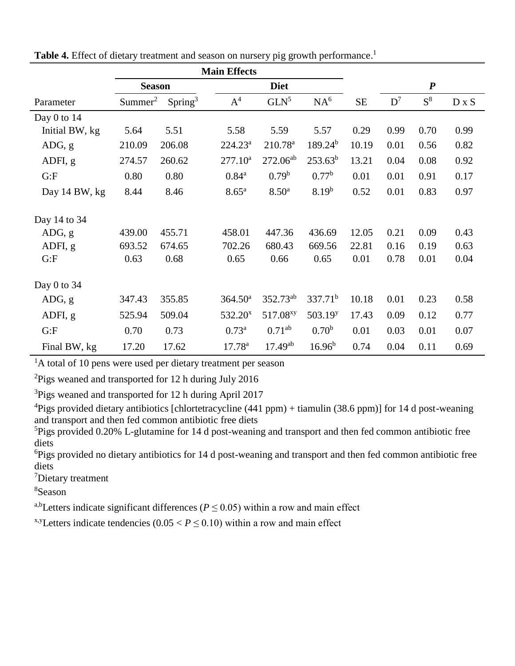|                 |                     | <b>Main Effects</b> |                     |                      |                     |           |       |                  |              |
|-----------------|---------------------|---------------------|---------------------|----------------------|---------------------|-----------|-------|------------------|--------------|
|                 | <b>Season</b>       |                     |                     | <b>Diet</b>          |                     |           |       | $\boldsymbol{P}$ |              |
| Parameter       | Summer <sup>2</sup> | Spring <sup>3</sup> | $A^4$               | GLN <sup>5</sup>     | NA <sup>6</sup>     | <b>SE</b> | $D^7$ | $S^8$            | $D \times S$ |
| Day $0$ to $14$ |                     |                     |                     |                      |                     |           |       |                  |              |
| Initial BW, kg  | 5.64                | 5.51                | 5.58                | 5.59                 | 5.57                | 0.29      | 0.99  | 0.70             | 0.99         |
| ADG, g          | 210.09              | 206.08              | $224.23^a$          | $210.78^a$           | $189.24^{b}$        | 10.19     | 0.01  | 0.56             | 0.82         |
| ADFI, g         | 274.57              | 260.62              | 277.10 <sup>a</sup> | $272.06^{ab}$        | $253.63^{b}$        | 13.21     | 0.04  | 0.08             | 0.92         |
| G: F            | 0.80                | 0.80                | $0.84^{a}$          | $0.79^b$             | $0.77^{\rm b}$      | 0.01      | 0.01  | 0.91             | 0.17         |
| Day 14 BW, kg   | 8.44                | 8.46                | 8.65 <sup>a</sup>   | 8.50 <sup>a</sup>    | 8.19 <sup>b</sup>   | 0.52      | 0.01  | 0.83             | 0.97         |
| Day 14 to 34    |                     |                     |                     |                      |                     |           |       |                  |              |
| ADG, g          | 439.00              | 455.71              | 458.01              | 447.36               | 436.69              | 12.05     | 0.21  | 0.09             | 0.43         |
| ADFI, g         | 693.52              | 674.65              | 702.26              | 680.43               | 669.56              | 22.81     | 0.16  | 0.19             | 0.63         |
| G: F            | 0.63                | 0.68                | 0.65                | 0.66                 | 0.65                | 0.01      | 0.78  | 0.01             | 0.04         |
| Day $0$ to $34$ |                     |                     |                     |                      |                     |           |       |                  |              |
| ADG, g          | 347.43              | 355.85              | 364.50 <sup>a</sup> | $352.73^{ab}$        | $337.71^b$          | 10.18     | 0.01  | 0.23             | 0.58         |
| ADFI, g         | 525.94              | 509.04              | 532.20 <sup>x</sup> | 517.08 <sup>xy</sup> | 503.19 <sup>y</sup> | 17.43     | 0.09  | 0.12             | 0.77         |
| G: F            | 0.70                | 0.73                | $0.73^{a}$          | $0.71^{ab}$          | 0.70 <sup>b</sup>   | 0.01      | 0.03  | 0.01             | 0.07         |
| Final BW, kg    | 17.20               | 17.62               | 17.78 <sup>a</sup>  | $17.49^{ab}$         | $16.96^{b}$         | 0.74      | 0.04  | 0.11             | 0.69         |

| Table 4. Effect of dietary treatment and season on nursery pig growth performance. <sup>1</sup> |  |  |  |
|-------------------------------------------------------------------------------------------------|--|--|--|
|-------------------------------------------------------------------------------------------------|--|--|--|

 ${}^{2}$ Pigs weaned and transported for 12 h during July 2016

<sup>3</sup>Pigs weaned and transported for 12 h during April 2017

 $^{4}$ Pigs provided dietary antibiotics [chlortetracycline (441 ppm) + tiamulin (38.6 ppm)] for 14 d post-weaning and transport and then fed common antibiotic free diets

<sup>5</sup>Pigs provided 0.20% L-glutamine for 14 d post-weaning and transport and then fed common antibiotic free diets

<sup>6</sup>Pigs provided no dietary antibiotics for 14 d post-weaning and transport and then fed common antibiotic free diets

<sup>7</sup>Dietary treatment

<sup>8</sup>Season

<sup>a,b</sup>Letters indicate significant differences ( $P \le 0.05$ ) within a row and main effect

<sup>x,y</sup>Letters indicate tendencies ( $0.05 < P \le 0.10$ ) within a row and main effect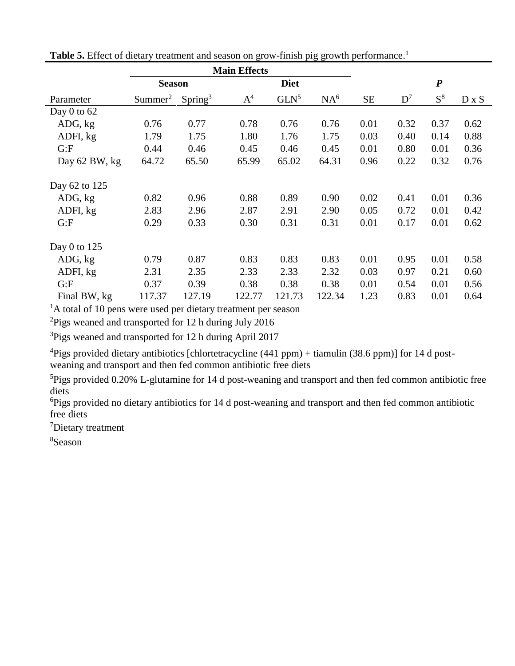|                 |                     | <b>Main Effects</b> |        |             |                 |           |                  |       |              |
|-----------------|---------------------|---------------------|--------|-------------|-----------------|-----------|------------------|-------|--------------|
|                 | <b>Season</b>       |                     |        | <b>Diet</b> |                 |           | $\boldsymbol{P}$ |       |              |
| Parameter       | Summer <sup>2</sup> | Spring <sup>3</sup> | $A^4$  | $GLN^5$     | NA <sup>6</sup> | <b>SE</b> | $D^7$            | $S^8$ | $D \times S$ |
| Day $0$ to $62$ |                     |                     |        |             |                 |           |                  |       |              |
| ADG, kg         | 0.76                | 0.77                | 0.78   | 0.76        | 0.76            | 0.01      | 0.32             | 0.37  | 0.62         |
| ADFI, kg        | 1.79                | 1.75                | 1.80   | 1.76        | 1.75            | 0.03      | 0.40             | 0.14  | 0.88         |
| G: F            | 0.44                | 0.46                | 0.45   | 0.46        | 0.45            | 0.01      | 0.80             | 0.01  | 0.36         |
| Day 62 BW, kg   | 64.72               | 65.50               | 65.99  | 65.02       | 64.31           | 0.96      | 0.22             | 0.32  | 0.76         |
| Day 62 to 125   |                     |                     |        |             |                 |           |                  |       |              |
| ADG, kg         | 0.82                | 0.96                | 0.88   | 0.89        | 0.90            | 0.02      | 0.41             | 0.01  | 0.36         |
| ADFI, kg        | 2.83                | 2.96                | 2.87   | 2.91        | 2.90            | 0.05      | 0.72             | 0.01  | 0.42         |
| G: F            | 0.29                | 0.33                | 0.30   | 0.31        | 0.31            | 0.01      | 0.17             | 0.01  | 0.62         |
| Day 0 to $125$  |                     |                     |        |             |                 |           |                  |       |              |
| ADG, kg         | 0.79                | 0.87                | 0.83   | 0.83        | 0.83            | 0.01      | 0.95             | 0.01  | 0.58         |
| ADFI, kg        | 2.31                | 2.35                | 2.33   | 2.33        | 2.32            | 0.03      | 0.97             | 0.21  | 0.60         |
| G: F            | 0.37                | 0.39                | 0.38   | 0.38        | 0.38            | 0.01      | 0.54             | 0.01  | 0.56         |
| Final BW, kg    | 117.37              | 127.19              | 122.77 | 121.73      | 122.34          | 1.23      | 0.83             | 0.01  | 0.64         |

Table 5. Effect of dietary treatment and season on grow-finish pig growth performance.<sup>1</sup>

<sup>2</sup>Pigs weaned and transported for 12 h during July 2016

<sup>3</sup>Pigs weaned and transported for 12 h during April 2017

<sup>4</sup>Pigs provided dietary antibiotics [chlortetracycline (441 ppm) + tiamulin (38.6 ppm)] for 14 d postweaning and transport and then fed common antibiotic free diets

<sup>5</sup>Pigs provided 0.20% L-glutamine for 14 d post-weaning and transport and then fed common antibiotic free diets

<sup>6</sup>Pigs provided no dietary antibiotics for 14 d post-weaning and transport and then fed common antibiotic free diets

<sup>7</sup>Dietary treatment

<sup>8</sup>Season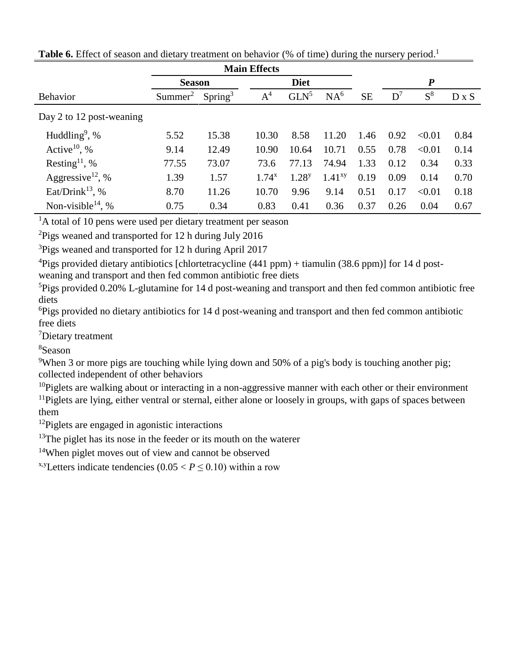|                               | <b>Season</b>       |                     |            | <b>Diet</b>      |                 |           |       | $\boldsymbol{P}$ |              |
|-------------------------------|---------------------|---------------------|------------|------------------|-----------------|-----------|-------|------------------|--------------|
| <b>Behavior</b>               | Summer <sup>2</sup> | Spring <sup>3</sup> | $A^4$      | GLN <sup>5</sup> | NA <sup>6</sup> | <b>SE</b> | $D^7$ | $S^8$            | $D \times S$ |
| Day 2 to 12 post-weaning      |                     |                     |            |                  |                 |           |       |                  |              |
| Huddling <sup>9</sup> , %     | 5.52                | 15.38               | 10.30      | 8.58             | 11.20           | 1.46      | 0.92  | < 0.01           | 0.84         |
| Active <sup>10</sup> , %      | 9.14                | 12.49               | 10.90      | 10.64            | 10.71           | 0.55      | 0.78  | < 0.01           | 0.14         |
| Resting <sup>11</sup> , %     | 77.55               | 73.07               | 73.6       | 77.13            | 74.94           | 1.33      | 0.12  | 0.34             | 0.33         |
| Aggressive <sup>12</sup> , %  | 1.39                | 1.57                | $1.74^{x}$ | $1.28^{y}$       | $1.41^{xy}$     | 0.19      | 0.09  | 0.14             | 0.70         |
| Eat/Drink <sup>13</sup> , %   | 8.70                | 11.26               | 10.70      | 9.96             | 9.14            | 0.51      | 0.17  | < 0.01           | 0.18         |
| Non-visible <sup>14</sup> , % | 0.75                | 0.34                | 0.83       | 0.41             | 0.36            | 0.37      | 0.26  | 0.04             | 0.67         |

Table 6. Effect of season and dietary treatment on behavior (% of time) during the nursery period.<sup>1</sup>

 ${}^{2}$ Pigs weaned and transported for 12 h during July 2016

<sup>3</sup>Pigs weaned and transported for 12 h during April 2017

<sup>4</sup>Pigs provided dietary antibiotics [chlortetracycline (441 ppm) + tiamulin (38.6 ppm)] for 14 d post-

weaning and transport and then fed common antibiotic free diets

<sup>5</sup>Pigs provided 0.20% L-glutamine for 14 d post-weaning and transport and then fed common antibiotic free diets

<sup>6</sup>Pigs provided no dietary antibiotics for 14 d post-weaning and transport and then fed common antibiotic free diets

<sup>7</sup>Dietary treatment

<sup>8</sup>Season

<sup>9</sup>When 3 or more pigs are touching while lying down and 50% of a pig's body is touching another pig; collected independent of other behaviors

 $10P$ iglets are walking about or interacting in a non-aggressive manner with each other or their environment <sup>11</sup>Piglets are lying, either ventral or sternal, either alone or loosely in groups, with gaps of spaces between them

 $12$ Piglets are engaged in agonistic interactions

 $13$ The piglet has its nose in the feeder or its mouth on the waterer

<sup>14</sup>When piglet moves out of view and cannot be observed

<sup>x,y</sup>Letters indicate tendencies  $(0.05 < P \le 0.10)$  within a row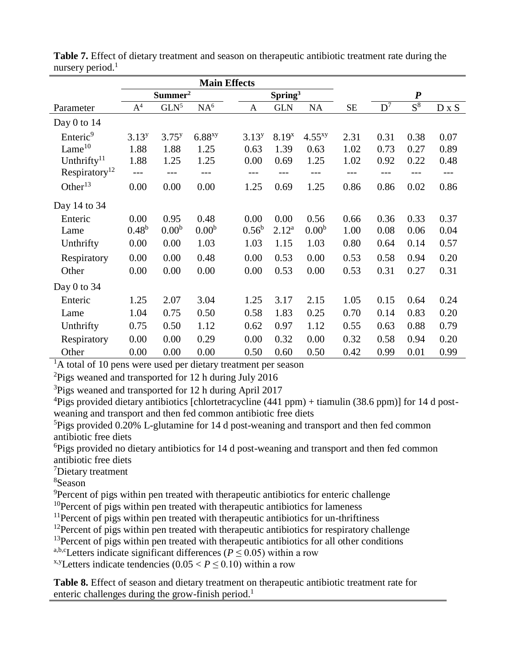|                           | <b>Main Effects</b> |                     |                      |  |                |                     |                   |      |       |                  |              |
|---------------------------|---------------------|---------------------|----------------------|--|----------------|---------------------|-------------------|------|-------|------------------|--------------|
|                           |                     | Summer <sup>2</sup> |                      |  |                | Spring <sup>3</sup> |                   |      |       | $\boldsymbol{P}$ |              |
| Parameter                 | A <sup>4</sup>      | $GLN^5$             | NA <sup>6</sup>      |  | A              | <b>GLN</b>          | <b>NA</b>         | SE   | $D^7$ | $S^8$            | $D \times S$ |
| Day $0$ to 14             |                     |                     |                      |  |                |                     |                   |      |       |                  |              |
| Enteric <sup>9</sup>      | $3.13^{y}$          | $3.75^{y}$          | $6.88$ <sup>xy</sup> |  | $3.13^{y}$     | $8.19^{x}$          | $4.55^{xy}$       | 2.31 | 0.31  | 0.38             | 0.07         |
| Lame $10$                 | 1.88                | 1.88                | 1.25                 |  | 0.63           | 1.39                | 0.63              | 1.02 | 0.73  | 0.27             | 0.89         |
| Unthrifty $11$            | 1.88                | 1.25                | 1.25                 |  | 0.00           | 0.69                | 1.25              | 1.02 | 0.92  | 0.22             | 0.48         |
| Respiratory <sup>12</sup> | ---                 |                     |                      |  | ---            |                     | ---               | ---  | ---   | ---              | ---          |
| Other $^{13}$             | 0.00                | 0.00                | 0.00                 |  | 1.25           | 0.69                | 1.25              | 0.86 | 0.86  | 0.02             | 0.86         |
| Day 14 to 34              |                     |                     |                      |  |                |                     |                   |      |       |                  |              |
| Enteric                   | 0.00                | 0.95                | 0.48                 |  | 0.00           | 0.00                | 0.56              | 0.66 | 0.36  | 0.33             | 0.37         |
| Lame                      | 0.48 <sup>b</sup>   | 0.00 <sup>b</sup>   | 0.00 <sup>b</sup>    |  | $0.56^{\rm b}$ | $2.12^{a}$          | 0.00 <sup>b</sup> | 1.00 | 0.08  | 0.06             | 0.04         |
| Unthrifty                 | 0.00                | 0.00                | 1.03                 |  | 1.03           | 1.15                | 1.03              | 0.80 | 0.64  | 0.14             | 0.57         |
| Respiratory               | 0.00                | 0.00                | 0.48                 |  | 0.00           | 0.53                | 0.00              | 0.53 | 0.58  | 0.94             | 0.20         |
| Other                     | 0.00                | 0.00                | 0.00                 |  | 0.00           | 0.53                | 0.00              | 0.53 | 0.31  | 0.27             | 0.31         |
| Day 0 to 34               |                     |                     |                      |  |                |                     |                   |      |       |                  |              |
| Enteric                   | 1.25                | 2.07                | 3.04                 |  | 1.25           | 3.17                | 2.15              | 1.05 | 0.15  | 0.64             | 0.24         |
| Lame                      | 1.04                | 0.75                | 0.50                 |  | 0.58           | 1.83                | 0.25              | 0.70 | 0.14  | 0.83             | 0.20         |
| Unthrifty                 | 0.75                | 0.50                | 1.12                 |  | 0.62           | 0.97                | 1.12              | 0.55 | 0.63  | 0.88             | 0.79         |
| Respiratory               | 0.00                | 0.00                | 0.29                 |  | 0.00           | 0.32                | 0.00              | 0.32 | 0.58  | 0.94             | 0.20         |
| Other                     | 0.00                | 0.00                | 0.00                 |  | 0.50           | 0.60                | 0.50              | 0.42 | 0.99  | 0.01             | 0.99         |

**Table 7.** Effect of dietary treatment and season on therapeutic antibiotic treatment rate during the nursery period.<sup>1</sup>

<sup>2</sup>Pigs weaned and transported for 12 h during July 2016

<sup>3</sup>Pigs weaned and transported for 12 h during April 2017

<sup>4</sup>Pigs provided dietary antibiotics [chlortetracycline (441 ppm) + tiamulin (38.6 ppm)] for 14 d postweaning and transport and then fed common antibiotic free diets

<sup>5</sup>Pigs provided 0.20% L-glutamine for 14 d post-weaning and transport and then fed common antibiotic free diets

<sup>6</sup>Pigs provided no dietary antibiotics for 14 d post-weaning and transport and then fed common antibiotic free diets

<sup>7</sup>Dietary treatment

<sup>8</sup>Season

<sup>9</sup>Percent of pigs within pen treated with therapeutic antibiotics for enteric challenge

 $10$ Percent of pigs within pen treated with therapeutic antibiotics for lameness

<sup>11</sup>Percent of pigs within pen treated with therapeutic antibiotics for un-thriftiness

 $12$ Percent of pigs within pen treated with therapeutic antibiotics for respiratory challenge

<sup>13</sup> Percent of pigs within pen treated with therapeutic antibiotics for all other conditions

a,b,cLetters indicate significant differences ( $P \le 0.05$ ) within a row

<sup>x,y</sup>Letters indicate tendencies  $(0.05 < P \le 0.10)$  within a row

**Table 8.** Effect of season and dietary treatment on therapeutic antibiotic treatment rate for enteric challenges during the grow-finish period.<sup>1</sup>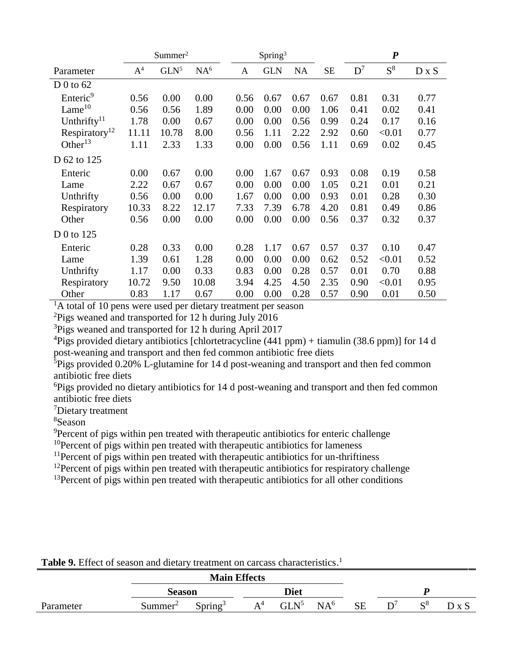|                           |                | Summer <sup>2</sup> |                 |      | Spring <sup>3</sup> |      |           |       | $\boldsymbol{P}$ |              |
|---------------------------|----------------|---------------------|-----------------|------|---------------------|------|-----------|-------|------------------|--------------|
| Parameter                 | A <sup>4</sup> | GLN <sup>5</sup>    | NA <sup>6</sup> | A    | <b>GLN</b>          | NA   | <b>SE</b> | $D^7$ | $S^8$            | $D \times S$ |
| D 0 to $62$               |                |                     |                 |      |                     |      |           |       |                  |              |
| Enteric <sup>9</sup>      | 0.56           | 0.00                | 0.00            | 0.56 | 0.67                | 0.67 | 0.67      | 0.81  | 0.31             | 0.77         |
| Lame <sup>10</sup>        | 0.56           | 0.56                | 1.89            | 0.00 | 0.00                | 0.00 | 1.06      | 0.41  | 0.02             | 0.41         |
| Unthrifty <sup>11</sup>   | 1.78           | 0.00                | 0.67            | 0.00 | 0.00                | 0.56 | 0.99      | 0.24  | 0.17             | 0.16         |
| Respiratory <sup>12</sup> | 11.11          | 10.78               | 8.00            | 0.56 | 1.11                | 2.22 | 2.92      | 0.60  | < 0.01           | 0.77         |
| Other $^{13}$             | 1.11           | 2.33                | 1.33            | 0.00 | 0.00                | 0.56 | 1.11      | 0.69  | 0.02             | 0.45         |
| D 62 to 125               |                |                     |                 |      |                     |      |           |       |                  |              |
| Enteric                   | 0.00           | 0.67                | 0.00            | 0.00 | 1.67                | 0.67 | 0.93      | 0.08  | 0.19             | 0.58         |
| Lame                      | 2.22           | 0.67                | 0.67            | 0.00 | 0.00                | 0.00 | 1.05      | 0.21  | 0.01             | 0.21         |
| Unthrifty                 | 0.56           | 0.00                | 0.00            | 1.67 | 0.00                | 0.00 | 0.93      | 0.01  | 0.28             | 0.30         |
| Respiratory               | 10.33          | 8.22                | 12.17           | 7.33 | 7.39                | 6.78 | 4.20      | 0.81  | 0.49             | 0.86         |
| Other                     | 0.56           | 0.00                | 0.00            | 0.00 | 0.00                | 0.00 | 0.56      | 0.37  | 0.32             | 0.37         |
| D 0 to 125                |                |                     |                 |      |                     |      |           |       |                  |              |
| Enteric                   | 0.28           | 0.33                | 0.00            | 0.28 | 1.17                | 0.67 | 0.57      | 0.37  | 0.10             | 0.47         |
| Lame                      | 1.39           | 0.61                | 1.28            | 0.00 | 0.00                | 0.00 | 0.62      | 0.52  | < 0.01           | 0.52         |
| Unthrifty                 | 1.17           | 0.00                | 0.33            | 0.83 | 0.00                | 0.28 | 0.57      | 0.01  | 0.70             | 0.88         |
| Respiratory               | 10.72          | 9.50                | 10.08           | 3.94 | 4.25                | 4.50 | 2.35      | 0.90  | < 0.01           | 0.95         |
| Other                     | 0.83           | 1.17                | 0.67            | 0.00 | 0.00                | 0.28 | 0.57      | 0.90  | 0.01             | 0.50         |

 ${}^{1}$ A total of 10 pens were used per dietary treatment per season

<sup>2</sup>Pigs weaned and transported for 12 h during July 2016

<sup>3</sup>Pigs weaned and transported for 12 h during April 2017

<sup>4</sup>Pigs provided dietary antibiotics [chlortetracycline  $(441$  ppm) + tiamulin  $(38.6$  ppm)] for 14 d post-weaning and transport and then fed common antibiotic free diets

 $5Pigs$  provided 0.20% L-glutamine for 14 d post-weaning and transport and then fed common antibiotic free diets

<sup>6</sup>Pigs provided no dietary antibiotics for 14 d post-weaning and transport and then fed common antibiotic free diets

<sup>7</sup>Dietary treatment

<sup>8</sup>Season

<sup>9</sup>Percent of pigs within pen treated with therapeutic antibiotics for enteric challenge

 $10$ Percent of pigs within pen treated with therapeutic antibiotics for lameness

 $11$ Percent of pigs within pen treated with therapeutic antibiotics for un-thriftiness

<sup>12</sup>Percent of pigs within pen treated with therapeutic antibiotics for respiratory challenge

 $13$ Percent of pigs within pen treated with therapeutic antibiotics for all other conditions

|           |                       | <b>Main Effects</b> |       |         |                 |           |       |       |
|-----------|-----------------------|---------------------|-------|---------|-----------------|-----------|-------|-------|
|           | Diet<br><b>Season</b> |                     |       |         |                 |           |       |       |
| Parameter | Summer <sup>2</sup>   | Spring <sup>3</sup> | $A^4$ | $GLN^5$ | NA <sup>6</sup> | <b>SE</b> | $S^8$ | D x S |

# Table 9. Effect of season and dietary treatment on carcass characteristics.<sup>1</sup>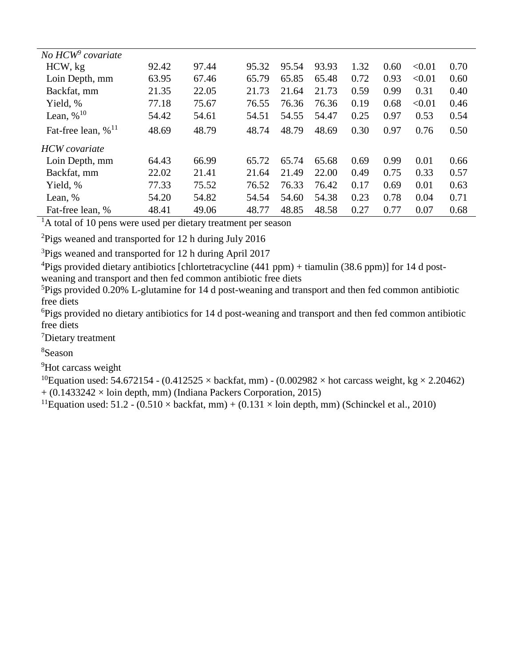| No $HCW9 covariate$               |       |       |       |       |       |      |      |        |      |
|-----------------------------------|-------|-------|-------|-------|-------|------|------|--------|------|
| HCW, kg                           | 92.42 | 97.44 | 95.32 | 95.54 | 93.93 | 1.32 | 0.60 | < 0.01 | 0.70 |
| Loin Depth, mm                    | 63.95 | 67.46 | 65.79 | 65.85 | 65.48 | 0.72 | 0.93 | < 0.01 | 0.60 |
| Backfat, mm                       | 21.35 | 22.05 | 21.73 | 21.64 | 21.73 | 0.59 | 0.99 | 0.31   | 0.40 |
| Yield, %                          | 77.18 | 75.67 | 76.55 | 76.36 | 76.36 | 0.19 | 0.68 | < 0.01 | 0.46 |
| Lean, $\%$ <sup>10</sup>          | 54.42 | 54.61 | 54.51 | 54.55 | 54.47 | 0.25 | 0.97 | 0.53   | 0.54 |
| Fat-free lean, $\%$ <sup>11</sup> | 48.69 | 48.79 | 48.74 | 48.79 | 48.69 | 0.30 | 0.97 | 0.76   | 0.50 |
| <b>HCW</b> covariate              |       |       |       |       |       |      |      |        |      |
| Loin Depth, mm                    | 64.43 | 66.99 | 65.72 | 65.74 | 65.68 | 0.69 | 0.99 | 0.01   | 0.66 |
| Backfat, mm                       | 22.02 | 21.41 | 21.64 | 21.49 | 22.00 | 0.49 | 0.75 | 0.33   | 0.57 |
| Yield, %                          | 77.33 | 75.52 | 76.52 | 76.33 | 76.42 | 0.17 | 0.69 | 0.01   | 0.63 |
| Lean, %                           | 54.20 | 54.82 | 54.54 | 54.60 | 54.38 | 0.23 | 0.78 | 0.04   | 0.71 |
| Fat-free lean, %                  | 48.41 | 49.06 | 48.77 | 48.85 | 48.58 | 0.27 | 0.77 | 0.07   | 0.68 |

<sup>2</sup>Pigs weaned and transported for 12 h during July 2016

<sup>3</sup>Pigs weaned and transported for 12 h during April 2017

<sup>4</sup>Pigs provided dietary antibiotics [chlortetracycline (441 ppm) + tiamulin (38.6 ppm)] for 14 d post-

weaning and transport and then fed common antibiotic free diets

 ${}^{5}$ Pigs provided 0.20% L-glutamine for 14 d post-weaning and transport and then fed common antibiotic free diets

<sup>6</sup>Pigs provided no dietary antibiotics for 14 d post-weaning and transport and then fed common antibiotic free diets

<sup>7</sup>Dietary treatment

<sup>8</sup>Season

<sup>9</sup>Hot carcass weight

<sup>10</sup>Equation used: 54.672154 - (0.412525  $\times$  backfat, mm) - (0.002982  $\times$  hot carcass weight, kg  $\times$  2.20462)  $+$  (0.1433242  $\times$  loin depth, mm) (Indiana Packers Corporation, 2015)

<sup>11</sup>Equation used: 51.2 -  $(0.510 \times \text{backfat}, \text{mm}) + (0.131 \times \text{loin depth}, \text{mm})$  (Schinckel et al., 2010)